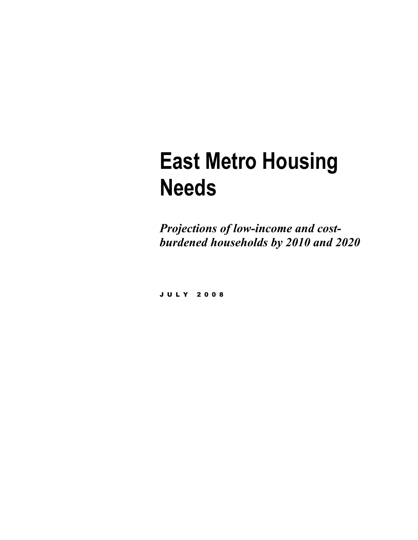# **East Metro Housing Needs**

*Projections of low-income and costburdened households by 2010 and 2020* 

JULY 2008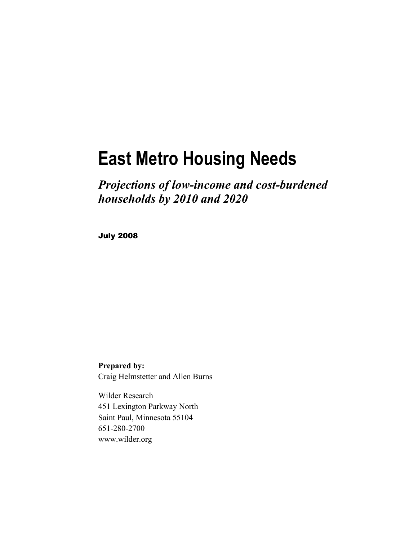## **East Metro Housing Needs**

*Projections of low-income and cost-burdened households by 2010 and 2020* 

July 2008

**Prepared by:**  Craig Helmstetter and Allen Burns

Wilder Research 451 Lexington Parkway North Saint Paul, Minnesota 55104 651-280-2700 www.wilder.org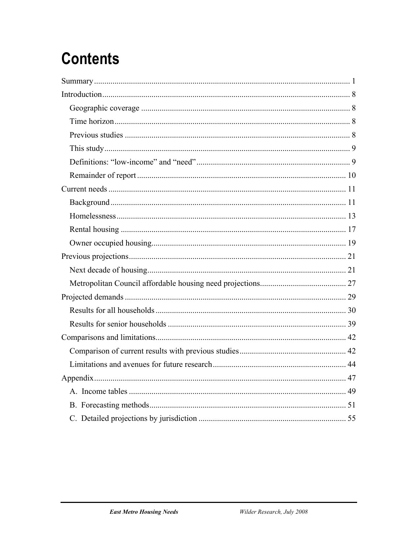## **Contents**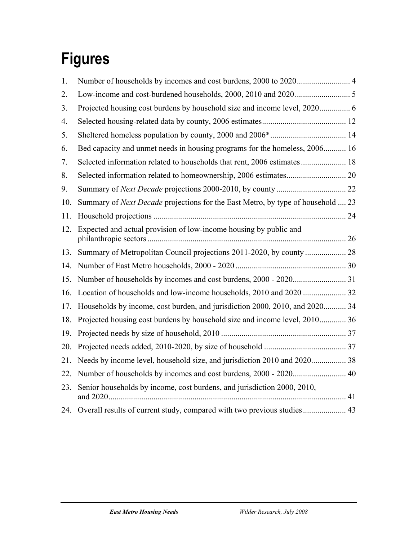## **Figures**

| 1.  |                                                                                        |  |
|-----|----------------------------------------------------------------------------------------|--|
| 2.  |                                                                                        |  |
| 3.  | Projected housing cost burdens by household size and income level, 2020 6              |  |
| 4.  |                                                                                        |  |
| 5.  |                                                                                        |  |
| 6.  | Bed capacity and unmet needs in housing programs for the homeless, 2006 16             |  |
| 7.  | Selected information related to households that rent, 2006 estimates  18               |  |
| 8.  |                                                                                        |  |
| 9.  |                                                                                        |  |
| 10. | Summary of <i>Next Decade</i> projections for the East Metro, by type of household  23 |  |
| 11. |                                                                                        |  |
| 12. | Expected and actual provision of low-income housing by public and                      |  |
| 13. |                                                                                        |  |
| 14. |                                                                                        |  |
| 15. |                                                                                        |  |
| 16. | Location of households and low-income households, 2010 and 2020  32                    |  |
| 17. | Households by income, cost burden, and jurisdiction 2000, 2010, and 2020 34            |  |
| 18. | Projected housing cost burdens by household size and income level, 2010 36             |  |
| 19. |                                                                                        |  |
| 20. |                                                                                        |  |
| 21. | Needs by income level, household size, and jurisdiction 2010 and 2020 38               |  |
| 22. |                                                                                        |  |
| 23. | Senior households by income, cost burdens, and jurisdiction 2000, 2010,                |  |
|     | 24. Overall results of current study, compared with two previous studies 43            |  |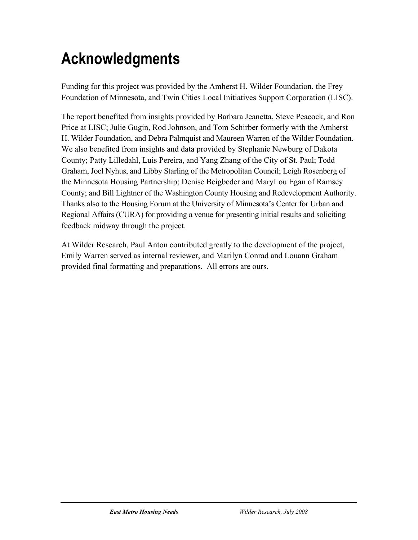## **Acknowledgments**

Funding for this project was provided by the Amherst H. Wilder Foundation, the Frey Foundation of Minnesota, and Twin Cities Local Initiatives Support Corporation (LISC).

The report benefited from insights provided by Barbara Jeanetta, Steve Peacock, and Ron Price at LISC; Julie Gugin, Rod Johnson, and Tom Schirber formerly with the Amherst H. Wilder Foundation, and Debra Palmquist and Maureen Warren of the Wilder Foundation. We also benefited from insights and data provided by Stephanie Newburg of Dakota County; Patty Lilledahl, Luis Pereira, and Yang Zhang of the City of St. Paul; Todd Graham, Joel Nyhus, and Libby Starling of the Metropolitan Council; Leigh Rosenberg of the Minnesota Housing Partnership; Denise Beigbeder and MaryLou Egan of Ramsey County; and Bill Lightner of the Washington County Housing and Redevelopment Authority. Thanks also to the Housing Forum at the University of Minnesota's Center for Urban and Regional Affairs (CURA) for providing a venue for presenting initial results and soliciting feedback midway through the project.

At Wilder Research, Paul Anton contributed greatly to the development of the project, Emily Warren served as internal reviewer, and Marilyn Conrad and Louann Graham provided final formatting and preparations. All errors are ours.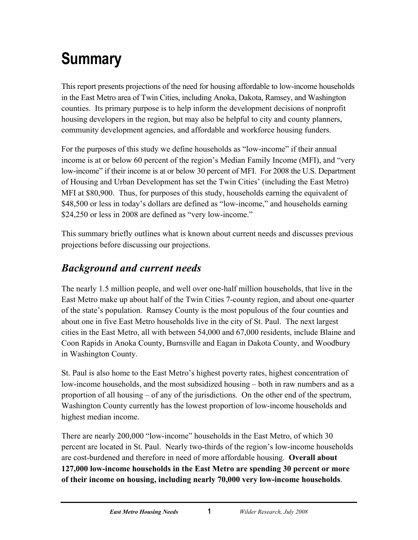## <span id="page-6-0"></span>**Summary**

This report presents projections of the need for housing affordable to low-income households in the East Metro area of Twin Cities, including Anoka, Dakota, Ramsey, and Washington counties. Its primary purpose is to help inform the development decisions of nonprofit housing developers in the region, but may also be helpful to city and county planners, community development agencies, and affordable and workforce housing funders.

For the purposes of this study we define households as "low-income" if their annual income is at or below 60 percent of the region's Median Family Income (MFI), and "very low-income" if their income is at or below 30 percent of MFI. For 2008 the U.S. Department of Housing and Urban Development has set the Twin Cities' (including the East Metro) MFI at \$80,900. Thus, for purposes of this study, households earning the equivalent of \$48,500 or less in today's dollars are defined as "low-income," and households earning \$24,250 or less in 2008 are defined as "very low-income."

This summary briefly outlines what is known about current needs and discusses previous projections before discussing our projections.

## *Background and current needs*

The nearly 1.5 million people, and well over one-half million households, that live in the East Metro make up about half of the Twin Cities 7-county region, and about one-quarter of the state's population. Ramsey County is the most populous of the four counties and about one in five East Metro households live in the city of St. Paul. The next largest cities in the East Metro, all with between 54,000 and 67,000 residents, include Blaine and Coon Rapids in Anoka County, Burnsville and Eagan in Dakota County, and Woodbury in Washington County.

St. Paul is also home to the East Metro's highest poverty rates, highest concentration of low-income households, and the most subsidized housing – both in raw numbers and as a proportion of all housing – of any of the jurisdictions. On the other end of the spectrum, Washington County currently has the lowest proportion of low-income households and highest median income.

There are nearly 200,000 "low-income" households in the East Metro, of which 30 percent are located in St. Paul. Nearly two-thirds of the region's low-income households are cost-burdened and therefore in need of more affordable housing. **Overall about 127,000 low-income households in the East Metro are spending 30 percent or more of their income on housing, including nearly 70,000 very low-income households**.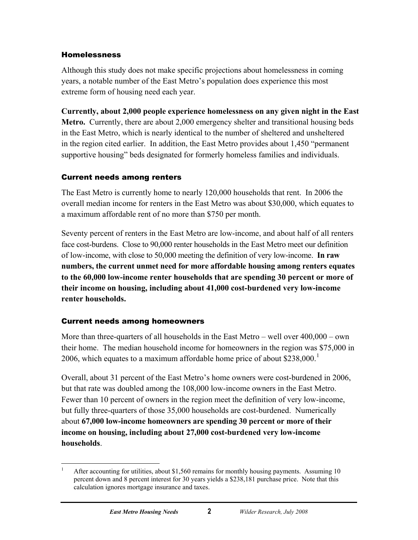#### Homelessness

Although this study does not make specific projections about homelessness in coming years, a notable number of the East Metro's population does experience this most extreme form of housing need each year.

**Currently, about 2,000 people experience homelessness on any given night in the East Metro.** Currently, there are about 2,000 emergency shelter and transitional housing beds in the East Metro, which is nearly identical to the number of sheltered and unsheltered in the region cited earlier. In addition, the East Metro provides about 1,450 "permanent supportive housing" beds designated for formerly homeless families and individuals.

#### Current needs among renters

The East Metro is currently home to nearly 120,000 households that rent. In 2006 the overall median income for renters in the East Metro was about \$30,000, which equates to a maximum affordable rent of no more than \$750 per month.

Seventy percent of renters in the East Metro are low-income, and about half of all renters face cost-burdens. Close to 90,000 renter households in the East Metro meet our definition of low-income, with close to 50,000 meeting the definition of very low-income. **In raw numbers, the current unmet need for more affordable housing among renters equates to the 60,000 low-income renter households that are spending 30 percent or more of their income on housing, including about 41,000 cost-burdened very low-income renter households.** 

#### Current needs among homeowners

More than three-quarters of all households in the East Metro – well over 400,000 – own their home. The median household income for homeowners in the region was \$75,000 in 2006, which equates to a maximum affordable home price of about  $$238,000$ .<sup>[1](#page-7-0)</sup>

Overall, about 31 percent of the East Metro's home owners were cost-burdened in 2006, but that rate was doubled among the 108,000 low-income owners in the East Metro. Fewer than 10 percent of owners in the region meet the definition of very low-income, but fully three-quarters of those 35,000 households are cost-burdened. Numerically about **67,000 low-income homeowners are spending 30 percent or more of their income on housing, including about 27,000 cost-burdened very low-income households**.

<span id="page-7-0"></span> $\frac{1}{1}$  After accounting for utilities, about \$1,560 remains for monthly housing payments. Assuming 10 percent down and 8 percent interest for 30 years yields a \$238,181 purchase price. Note that this calculation ignores mortgage insurance and taxes.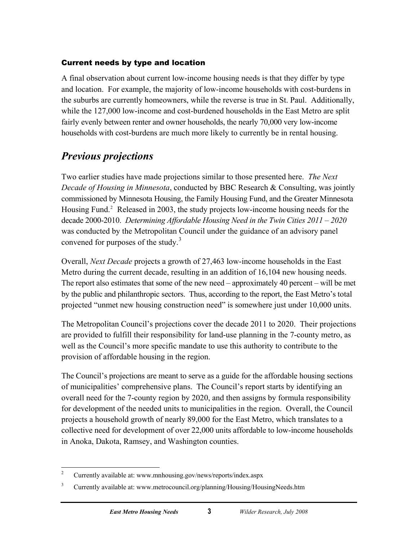#### Current needs by type and location

A final observation about current low-income housing needs is that they differ by type and location. For example, the majority of low-income households with cost-burdens in the suburbs are currently homeowners, while the reverse is true in St. Paul. Additionally, while the 127,000 low-income and cost-burdened households in the East Metro are split fairly evenly between renter and owner households, the nearly 70,000 very low-income households with cost-burdens are much more likely to currently be in rental housing.

### *Previous projections*

Two earlier studies have made projections similar to those presented here. *The Next Decade of Housing in Minnesota*, conducted by BBC Research & Consulting, was jointly commissioned by Minnesota Housing, the Family Housing Fund, and the Greater Minnesota Housing Fund.<sup>[2](#page-8-0)</sup> Released in 2003, the study projects low-income housing needs for the decade 2000-2010. *Determining Affordable Housing Need in the Twin Cities 2011 – 2020* was conducted by the Metropolitan Council under the guidance of an advisory panel convened for purposes of the study. $3$ 

Overall, *Next Decade* projects a growth of 27,463 low-income households in the East Metro during the current decade, resulting in an addition of 16,104 new housing needs. The report also estimates that some of the new need – approximately 40 percent – will be met by the public and philanthropic sectors. Thus, according to the report, the East Metro's total projected "unmet new housing construction need" is somewhere just under 10,000 units.

The Metropolitan Council's projections cover the decade 2011 to 2020. Their projections are provided to fulfill their responsibility for land-use planning in the 7-county metro, as well as the Council's more specific mandate to use this authority to contribute to the provision of affordable housing in the region.

The Council's projections are meant to serve as a guide for the affordable housing sections of municipalities' comprehensive plans. The Council's report starts by identifying an overall need for the 7-county region by 2020, and then assigns by formula responsibility for development of the needed units to municipalities in the region. Overall, the Council projects a household growth of nearly 89,000 for the East Metro, which translates to a collective need for development of over 22,000 units affordable to low-income households in Anoka, Dakota, Ramsey, and Washington counties.

 $\frac{1}{2}$ Currently available at: www.mnhousing.gov/news/reports/index.aspx

<span id="page-8-1"></span><span id="page-8-0"></span><sup>3</sup> Currently available at: www.metrocouncil.org/planning/Housing/HousingNeeds.htm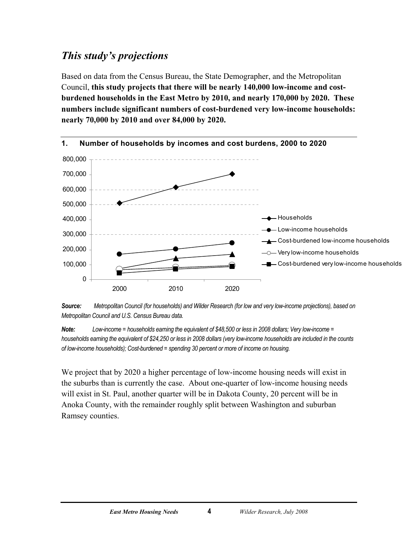## <span id="page-9-0"></span>*This study's projections*

Based on data from the Census Bureau, the State Demographer, and the Metropolitan Council, **this study projects that there will be nearly 140,000 low-income and costburdened households in the East Metro by 2010, and nearly 170,000 by 2020. These numbers include significant numbers of cost-burdened very low-income households: nearly 70,000 by 2010 and over 84,000 by 2020.** 





*Note: Low-income = households earning the equivalent of \$48,500 or less in 2008 dollars; Very low-income = households earning the equivalent of \$24,250 or less in 2008 dollars (very low-income households are included in the counts of low-income households); Cost-burdened = spending 30 percent or more of income on housing.* 

We project that by 2020 a higher percentage of low-income housing needs will exist in the suburbs than is currently the case. About one-quarter of low-income housing needs will exist in St. Paul, another quarter will be in Dakota County, 20 percent will be in Anoka County, with the remainder roughly split between Washington and suburban Ramsey counties.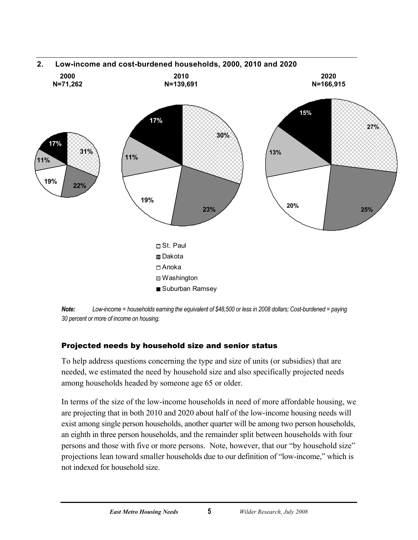<span id="page-10-0"></span>

*Note: Low-income = households earning the equivalent of \$48,500 or less in 2008 dollars; Cost-burdened = paying 30 percent or more of income on housing.* 

#### Projected needs by household size and senior status

To help address questions concerning the type and size of units (or subsidies) that are needed, we estimated the need by household size and also specifically projected needs among households headed by someone age 65 or older.

In terms of the size of the low-income households in need of more affordable housing, we are projecting that in both 2010 and 2020 about half of the low-income housing needs will exist among single person households, another quarter will be among two person households, an eighth in three person households, and the remainder split between households with four persons and those with five or more persons. Note, however, that our "by household size" projections lean toward smaller households due to our definition of "low-income," which is not indexed for household size.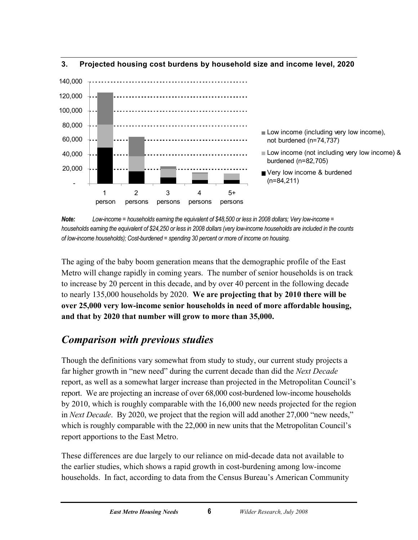

#### <span id="page-11-0"></span>**3. Projected housing cost burdens by household size and income level, 2020**

*Note: Low-income = households earning the equivalent of \$48,500 or less in 2008 dollars; Very low-income = households earning the equivalent of \$24,250 or less in 2008 dollars (very low-income households are included in the counts of low-income households); Cost-burdened = spending 30 percent or more of income on housing.* 

The aging of the baby boom generation means that the demographic profile of the East Metro will change rapidly in coming years. The number of senior households is on track to increase by 20 percent in this decade, and by over 40 percent in the following decade to nearly 135,000 households by 2020. **We are projecting that by 2010 there will be over 25,000 very low-income senior households in need of more affordable housing, and that by 2020 that number will grow to more than 35,000.** 

## *Comparison with previous studies*

Though the definitions vary somewhat from study to study, our current study projects a far higher growth in "new need" during the current decade than did the *Next Decade* report, as well as a somewhat larger increase than projected in the Metropolitan Council's report. We are projecting an increase of over 68,000 cost-burdened low-income households by 2010, which is roughly comparable with the 16,000 new needs projected for the region in *Next Decade*. By 2020, we project that the region will add another 27,000 "new needs," which is roughly comparable with the 22,000 in new units that the Metropolitan Council's report apportions to the East Metro.

These differences are due largely to our reliance on mid-decade data not available to the earlier studies, which shows a rapid growth in cost-burdening among low-income households. In fact, according to data from the Census Bureau's American Community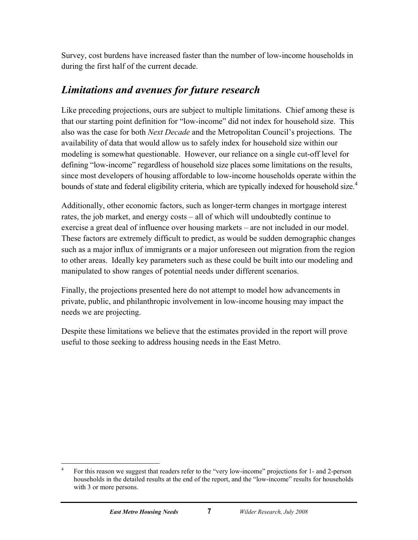Survey, cost burdens have increased faster than the number of low-income households in during the first half of the current decade.

### *Limitations and avenues for future research*

Like preceding projections, ours are subject to multiple limitations. Chief among these is that our starting point definition for "low-income" did not index for household size. This also was the case for both *Next Decade* and the Metropolitan Council's projections. The availability of data that would allow us to safely index for household size within our modeling is somewhat questionable. However, our reliance on a single cut-off level for defining "low-income" regardless of household size places some limitations on the results, since most developers of housing affordable to low-income households operate within the bounds of state and federal eligibility criteria, which are typically indexed for household size.<sup>[4](#page-12-0)</sup>

Additionally, other economic factors, such as longer-term changes in mortgage interest rates, the job market, and energy costs – all of which will undoubtedly continue to exercise a great deal of influence over housing markets – are not included in our model. These factors are extremely difficult to predict, as would be sudden demographic changes such as a major influx of immigrants or a major unforeseen out migration from the region to other areas. Ideally key parameters such as these could be built into our modeling and manipulated to show ranges of potential needs under different scenarios.

Finally, the projections presented here do not attempt to model how advancements in private, public, and philanthropic involvement in low-income housing may impact the needs we are projecting.

Despite these limitations we believe that the estimates provided in the report will prove useful to those seeking to address housing needs in the East Metro.

<span id="page-12-0"></span> $\frac{1}{4}$  For this reason we suggest that readers refer to the "very low-income" projections for 1- and 2-person households in the detailed results at the end of the report, and the "low-income" results for households with 3 or more persons.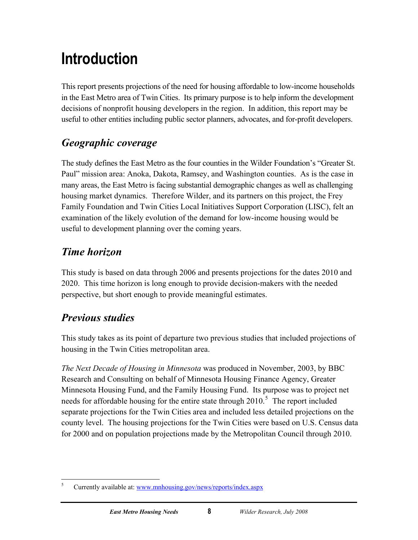## <span id="page-13-0"></span>**Introduction**

This report presents projections of the need for housing affordable to low-income households in the East Metro area of Twin Cities. Its primary purpose is to help inform the development decisions of nonprofit housing developers in the region. In addition, this report may be useful to other entities including public sector planners, advocates, and for-profit developers.

## *Geographic coverage*

The study defines the East Metro as the four counties in the Wilder Foundation's "Greater St. Paul" mission area: Anoka, Dakota, Ramsey, and Washington counties. As is the case in many areas, the East Metro is facing substantial demographic changes as well as challenging housing market dynamics. Therefore Wilder, and its partners on this project, the Frey Family Foundation and Twin Cities Local Initiatives Support Corporation (LISC), felt an examination of the likely evolution of the demand for low-income housing would be useful to development planning over the coming years.

## *Time horizon*

This study is based on data through 2006 and presents projections for the dates 2010 and 2020. This time horizon is long enough to provide decision-makers with the needed perspective, but short enough to provide meaningful estimates.

## *Previous studies*

This study takes as its point of departure two previous studies that included projections of housing in the Twin Cities metropolitan area.

*The Next Decade of Housing in Minnesota* was produced in November, 2003, by BBC Research and Consulting on behalf of Minnesota Housing Finance Agency, Greater Minnesota Housing Fund, and the Family Housing Fund. Its purpose was to project net needs for affordable housing for the entire state through  $2010$ <sup>[5](#page-13-1)</sup>. The report included separate projections for the Twin Cities area and included less detailed projections on the county level. The housing projections for the Twin Cities were based on U.S. Census data for 2000 and on population projections made by the Metropolitan Council through 2010.

<span id="page-13-1"></span> $\frac{1}{5}$ Currently available at: [www.mnhousing.gov/news/reports/index.aspx](http://www.mnhousing.gov/news/reports/index.aspx)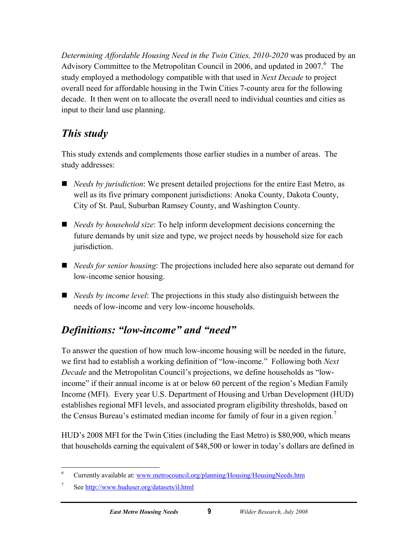<span id="page-14-0"></span>*Determining Affordable Housing Need in the Twin Cities, 2010-2020* was produced by an Advisory Committee to the Metropolitan Council in 200[6](#page-14-1), and updated in 2007. $6$  The study employed a methodology compatible with that used in *Next Decade* to project overall need for affordable housing in the Twin Cities 7-county area for the following decade. It then went on to allocate the overall need to individual counties and cities as input to their land use planning.

## *This study*

This study extends and complements those earlier studies in a number of areas. The study addresses:

- *Needs by jurisdiction*: We present detailed projections for the entire East Metro, as well as its five primary component jurisdictions: Anoka County, Dakota County, City of St. Paul, Suburban Ramsey County, and Washington County.
- *Needs by household size*: To help inform development decisions concerning the future demands by unit size and type, we project needs by household size for each jurisdiction.
- *Needs for senior housing*: The projections included here also separate out demand for low-income senior housing.
- *Needs by income level*: The projections in this study also distinguish between the needs of low-income and very low-income households.

## *Definitions: "low-income" and "need"*

To answer the question of how much low-income housing will be needed in the future, we first had to establish a working definition of "low-income." Following both *Next Decade* and the Metropolitan Council's projections, we define households as "lowincome" if their annual income is at or below 60 percent of the region's Median Family Income (MFI). Every year U.S. Department of Housing and Urban Development (HUD) establishes regional MFI levels, and associated program eligibility thresholds, based on the Census Bureau's estimated median income for family of four in a given region.<sup>[7](#page-14-2)</sup>

HUD's 2008 MFI for the Twin Cities (including the East Metro) is \$80,900, which means that households earning the equivalent of \$48,500 or lower in today's dollars are defined in

<span id="page-14-1"></span> $\frac{1}{6}$ Currently available at: [www.metrocouncil.org/planning/Housing/HousingNeeds.htm](http://www.metrocouncil.org/planning/Housing/HousingNeeds.htm) 

<span id="page-14-2"></span><sup>7</sup> See <http://www.huduser.org/datasets/il.html>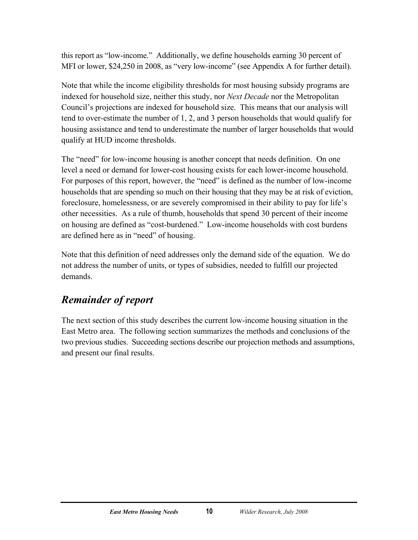<span id="page-15-0"></span>this report as "low-income." Additionally, we define households earning 30 percent of MFI or lower, \$24,250 in 2008, as "very low-income" (see Appendix A for further detail).

Note that while the income eligibility thresholds for most housing subsidy programs are indexed for household size, neither this study, nor *Next Decade* nor the Metropolitan Council's projections are indexed for household size. This means that our analysis will tend to over-estimate the number of 1, 2, and 3 person households that would qualify for housing assistance and tend to underestimate the number of larger households that would qualify at HUD income thresholds.

The "need" for low-income housing is another concept that needs definition. On one level a need or demand for lower-cost housing exists for each lower-income household. For purposes of this report, however, the "need" is defined as the number of low-income households that are spending so much on their housing that they may be at risk of eviction, foreclosure, homelessness, or are severely compromised in their ability to pay for life's other necessities. As a rule of thumb, households that spend 30 percent of their income on housing are defined as "cost-burdened." Low-income households with cost burdens are defined here as in "need" of housing.

Note that this definition of need addresses only the demand side of the equation. We do not address the number of units, or types of subsidies, needed to fulfill our projected demands.

### *Remainder of report*

The next section of this study describes the current low-income housing situation in the East Metro area. The following section summarizes the methods and conclusions of the two previous studies. Succeeding sections describe our projection methods and assumptions, and present our final results.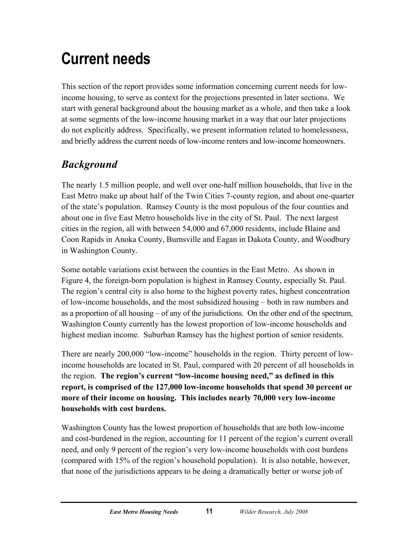## <span id="page-16-0"></span>**Current needs**

This section of the report provides some information concerning current needs for lowincome housing, to serve as context for the projections presented in later sections. We start with general background about the housing market as a whole, and then take a look at some segments of the low-income housing market in a way that our later projections do not explicitly address. Specifically, we present information related to homelessness, and briefly address the current needs of low-income renters and low-income homeowners.

## *Background*

The nearly 1.5 million people, and well over one-half million households, that live in the East Metro make up about half of the Twin Cities 7-county region, and about one-quarter of the state's population. Ramsey County is the most populous of the four counties and about one in five East Metro households live in the city of St. Paul. The next largest cities in the region, all with between 54,000 and 67,000 residents, include Blaine and Coon Rapids in Anoka County, Burnsville and Eagan in Dakota County, and Woodbury in Washington County.

Some notable variations exist between the counties in the East Metro. As shown in Figure 4, the foreign-born population is highest in Ramsey County, especially St. Paul. The region's central city is also home to the highest poverty rates, highest concentration of low-income households, and the most subsidized housing – both in raw numbers and as a proportion of all housing – of any of the jurisdictions. On the other end of the spectrum, Washington County currently has the lowest proportion of low-income households and highest median income. Suburban Ramsey has the highest portion of senior residents.

There are nearly 200,000 "low-income" households in the region. Thirty percent of lowincome households are located in St. Paul, compared with 20 percent of all households in the region. **The region's current "low-income housing need," as defined in this report, is comprised of the 127,000 low-income households that spend 30 percent or more of their income on housing. This includes nearly 70,000 very low-income households with cost burdens.**

Washington County has the lowest proportion of households that are both low-income and cost-burdened in the region, accounting for 11 percent of the region's current overall need, and only 9 percent of the region's very low-income households with cost burdens (compared with 15% of the region's household population). It is also notable, however, that none of the jurisdictions appears to be doing a dramatically better or worse job of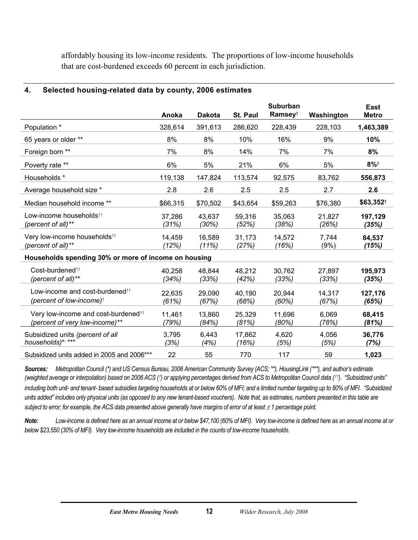<span id="page-17-0"></span>affordably housing its low-income residents. The proportions of low-income households that are cost-burdened exceeds 60 percent in each jurisdiction.

#### **4. Selected housing-related data by county, 2006 estimates**

|                                                                                                       | Anoka           | <b>Dakota</b>   | St. Paul        | <b>Suburban</b><br>Ramsey <sup>t</sup> | Washington      | East<br><b>Metro</b> |
|-------------------------------------------------------------------------------------------------------|-----------------|-----------------|-----------------|----------------------------------------|-----------------|----------------------|
| Population *                                                                                          | 328,614         | 391,613         | 286,620         | 228,439                                | 228,103         | 1,463,389            |
| 65 years or older **                                                                                  | 8%              | 8%              | 10%             | 16%                                    | 9%              | 10%                  |
| Foreign born **                                                                                       | 7%              | 8%              | 14%             | 7%                                     | 7%              | 8%                   |
| Poverty rate **                                                                                       | 6%              | 5%              | 21%             | 6%                                     | 5%              | $8%$ <sup>+</sup>    |
| Households *                                                                                          | 119,138         | 147,824         | 113,574         | 92,575                                 | 83,762          | 556,873              |
| Average household size *                                                                              | 2.8             | 2.6             | 2.5             | 2.5                                    | 2.7             | 2.6                  |
| Median household income **                                                                            | \$66,315        | \$70,502        | \$43,654        | \$59,263                               | \$76,380        | \$63,352+            |
| Low-income households <sup>††</sup><br>(percent of all)**                                             | 37,286<br>(31%) | 43,637<br>(30%) | 59,316<br>(52%) | 35,063<br>(38%)                        | 21,827<br>(26%) | 197,129<br>(35%)     |
| Very low-income households <sup>††</sup><br>(percent of all)**                                        | 14,459<br>(12%) | 16,589<br>(11%) | 31,173<br>(27%) | 14,572<br>(16%)                        | 7,744<br>(9%)   | 84,537<br>(15%)      |
| Households spending 30% or more of income on housing                                                  |                 |                 |                 |                                        |                 |                      |
| Cost-burdened <sup>††</sup><br>(percent of all)**                                                     | 40,258<br>(34%) | 48,844<br>(33%) | 48,212<br>(42%) | 30,762<br>(33%)                        | 27,897<br>(33%) | 195,973<br>(35%)     |
| Low-income and cost-burdened <sup>††</sup><br>(percent of low-income) <sup><math>\dagger</math></sup> | 22,635<br>(61%) | 29,090<br>(67%) | 40,190<br>(68%) | 20,944<br>(60%)                        | 14,317<br>(67%) | 127,176<br>(65%)     |
| Very low-income and cost-burdened <sup>tt</sup><br>(percent of very low-income)**                     | 11,461<br>(79%) | 13,860<br>(84%) | 25,329<br>(81%) | 11,696<br>(80%)                        | 6,069<br>(78%)  | 68,415<br>(81%)      |
| Subsidized units (percent of all<br>households)* <sup>,****</sup>                                     | 3,795<br>(3%)   | 6,443<br>(4%)   | 17,862<br>(16%) | 4,620<br>(5%)                          | 4,056<br>(5%)   | 36,776<br>(7%)       |
| Subsidized units added in 2005 and 2006***                                                            | 22              | 55              | 770             | 117                                    | 59              | 1,023                |

*Sources: Metropolitan Council (\*) and US Census Bureau, 2006 American Community Survey (ACS; \*\*), HousingLink (\*\*\*), and author's estimate (weighted average or interpolation) based on 2006 ACS (*†*) or applying percentages derived from ACS to Metropolitan Council data (*††*). "Subsidized units" including both unit- and tenant- based subsidies targeting households at or below 60% of MFI; and a limited number targeting up to 80% of MFI. "Subsidized*  units added" includes only physical units (as opposed to any new tenant-based vouchers). Note that, as estimates, numbers presented in this table are *subject to error; for example, the ACS data presented above generally have margins of error of at least*  $\pm 1$  *percentage point.* 

*Note: Low-income is defined here as an annual income at or below \$47,100 (60% of MFI). Very low-income is defined here as an annual income at or below \$23,550 (30% of MFI). Very low-income households are included in the counts of low-income households.*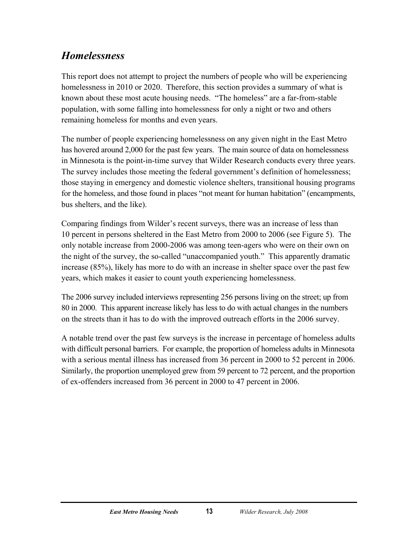## <span id="page-18-0"></span>*Homelessness*

This report does not attempt to project the numbers of people who will be experiencing homelessness in 2010 or 2020. Therefore, this section provides a summary of what is known about these most acute housing needs. "The homeless" are a far-from-stable population, with some falling into homelessness for only a night or two and others remaining homeless for months and even years.

The number of people experiencing homelessness on any given night in the East Metro has hovered around 2,000 for the past few years. The main source of data on homelessness in Minnesota is the point-in-time survey that Wilder Research conducts every three years. The survey includes those meeting the federal government's definition of homelessness; those staying in emergency and domestic violence shelters, transitional housing programs for the homeless, and those found in places "not meant for human habitation" (encampments, bus shelters, and the like).

Comparing findings from Wilder's recent surveys, there was an increase of less than 10 percent in persons sheltered in the East Metro from 2000 to 2006 (see Figure 5). The only notable increase from 2000-2006 was among teen-agers who were on their own on the night of the survey, the so-called "unaccompanied youth." This apparently dramatic increase (85%), likely has more to do with an increase in shelter space over the past few years, which makes it easier to count youth experiencing homelessness.

The 2006 survey included interviews representing 256 persons living on the street; up from 80 in 2000. This apparent increase likely has less to do with actual changes in the numbers on the streets than it has to do with the improved outreach efforts in the 2006 survey.

A notable trend over the past few surveys is the increase in percentage of homeless adults with difficult personal barriers. For example, the proportion of homeless adults in Minnesota with a serious mental illness has increased from 36 percent in 2000 to 52 percent in 2006. Similarly, the proportion unemployed grew from 59 percent to 72 percent, and the proportion of ex-offenders increased from 36 percent in 2000 to 47 percent in 2006.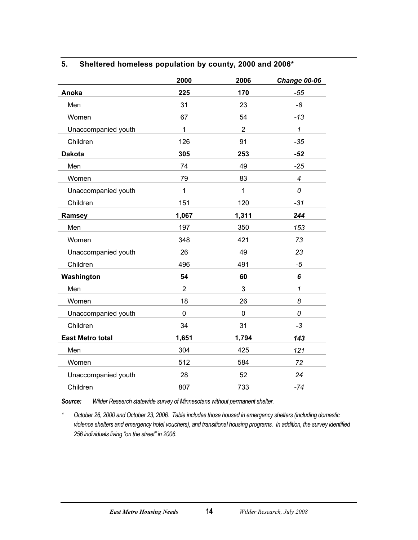#### <span id="page-19-0"></span>**5. Sheltered homeless population by county, 2000 and 2006\***

|                         | 2000           | 2006           | <b>Change 00-06</b> |
|-------------------------|----------------|----------------|---------------------|
| Anoka                   | 225            | 170            | $-55$               |
| Men                     | 31             | 23             | -8                  |
| Women                   | 67             | 54             | $-13$               |
| Unaccompanied youth     | 1              | $\overline{2}$ | $\mathcal I$        |
| Children                | 126            | 91             | $-35$               |
| <b>Dakota</b>           | 305            | 253            | $-52$               |
| Men                     | 74             | 49             | $-25$               |
| Women                   | 79             | 83             | $\overline{4}$      |
| Unaccompanied youth     | $\mathbf{1}$   | $\mathbf{1}$   | 0                   |
| Children                | 151            | 120            | $-31$               |
| Ramsey                  | 1,067          | 1,311          | 244                 |
| Men                     | 197            | 350            | 153                 |
| Women                   | 348            | 421            | 73                  |
| Unaccompanied youth     | 26             | 49             | 23                  |
| Children                | 496            | 491            | $-5$                |
| Washington              | 54             | 60             | 6                   |
| Men                     | $\overline{2}$ | 3              | $\mathcal I$        |
| Women                   | 18             | 26             | 8                   |
| Unaccompanied youth     | 0              | $\mathbf 0$    | 0                   |
| Children                | 34             | 31             | $-3$                |
| <b>East Metro total</b> | 1,651          | 1,794          | 143                 |
| Men                     | 304            | 425            | 121                 |
| Women                   | 512            | 584            | 72                  |
| Unaccompanied youth     | 28             | 52             | 24                  |
| Children                | 807            | 733            | $-74$               |

*Source: Wilder Research statewide survey of Minnesotans without permanent shelter.* 

*\* October 26, 2000 and October 23, 2006. Table includes those housed in emergency shelters (including domestic violence shelters and emergency hotel vouchers), and transitional housing programs. In addition, the survey identified 256 individuals living "on the street" in 2006.*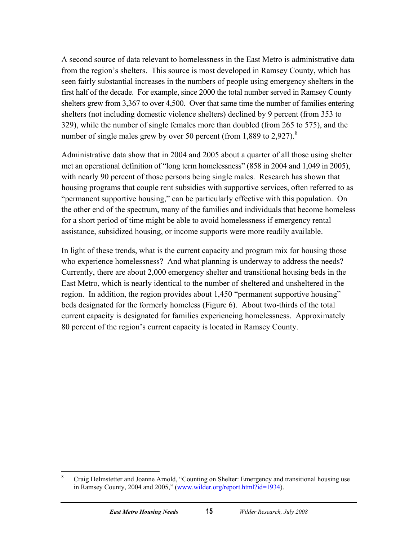A second source of data relevant to homelessness in the East Metro is administrative data from the region's shelters. This source is most developed in Ramsey County, which has seen fairly substantial increases in the numbers of people using emergency shelters in the first half of the decade. For example, since 2000 the total number served in Ramsey County shelters grew from 3,367 to over 4,500. Over that same time the number of families entering shelters (not including domestic violence shelters) declined by 9 percent (from 353 to 329), while the number of single females more than doubled (from 265 to 575), and the number of single males grew by over 50 percent (from 1,[8](#page-20-0)89 to 2,927). $8$ 

Administrative data show that in 2004 and 2005 about a quarter of all those using shelter met an operational definition of "long term homelessness" (858 in 2004 and 1,049 in 2005), with nearly 90 percent of those persons being single males. Research has shown that housing programs that couple rent subsidies with supportive services, often referred to as "permanent supportive housing," can be particularly effective with this population. On the other end of the spectrum, many of the families and individuals that become homeless for a short period of time might be able to avoid homelessness if emergency rental assistance, subsidized housing, or income supports were more readily available.

In light of these trends, what is the current capacity and program mix for housing those who experience homelessness? And what planning is underway to address the needs? Currently, there are about 2,000 emergency shelter and transitional housing beds in the East Metro, which is nearly identical to the number of sheltered and unsheltered in the region. In addition, the region provides about 1,450 "permanent supportive housing" beds designated for the formerly homeless (Figure 6). About two-thirds of the total current capacity is designated for families experiencing homelessness. Approximately 80 percent of the region's current capacity is located in Ramsey County.

<span id="page-20-0"></span> $\overline{a}$ 8 Craig Helmstetter and Joanne Arnold, "Counting on Shelter: Emergency and transitional housing use in Ramsey County, 2004 and 2005," ([www.wilder.org/report.html?id=1934\)](http://www.wilder.org/report.html?id=1934).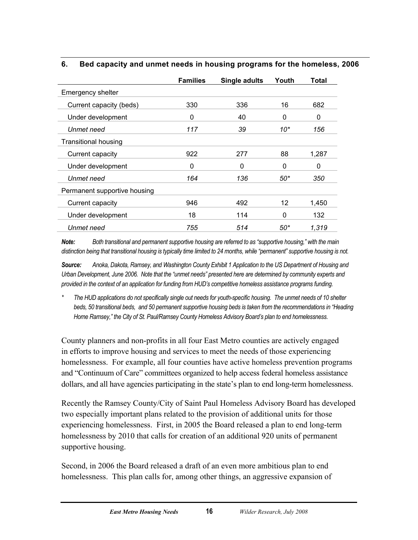<span id="page-21-0"></span>

| 6. |  | Bed capacity and unmet needs in housing programs for the homeless, 2006 |
|----|--|-------------------------------------------------------------------------|
|    |  |                                                                         |

|                              | <b>Families</b> | Single adults | Youth | <b>Total</b> |
|------------------------------|-----------------|---------------|-------|--------------|
| <b>Emergency shelter</b>     |                 |               |       |              |
| Current capacity (beds)      | 330             | 336           | 16    | 682          |
| Under development            | 0               | 40            | 0     | 0            |
| Unmet need                   | 117             | 39            | $10*$ | 156          |
| <b>Transitional housing</b>  |                 |               |       |              |
| Current capacity             | 922             | 277           | 88    | 1,287        |
| Under development            | 0               | 0             | 0     | 0            |
| Unmet need                   | 164             | 136           | 50*   | 350          |
| Permanent supportive housing |                 |               |       |              |
| Current capacity             | 946             | 492           | 12    | 1,450        |
| Under development            | 18              | 114           | 0     | 132          |
| Unmet need                   | 755             | 514           | 50*   | 1.319        |

*Note: Both transitional and permanent supportive housing are referred to as "supportive housing," with the main distinction being that transitional housing is typically time limited to 24 months, while "permanent" supportive housing is not.* 

*Source: Anoka, Dakota, Ramsey, and Washington County Exhibit 1 Application to the US Department of Housing and Urban Development, June 2006. Note that the "unmet needs" presented here are determined by community experts and provided in the context of an application for funding from HUD's competitive homeless assistance programs funding.* 

*\* The HUD applications do not specifically single out needs for youth-specific housing. The unmet needs of 10 shelter beds, 50 transitional beds, and 50 permanent supportive housing beds is taken from the recommendations in "Heading Home Ramsey," the City of St. Paul/Ramsey County Homeless Advisory Board's plan to end homelessness.* 

County planners and non-profits in all four East Metro counties are actively engaged in efforts to improve housing and services to meet the needs of those experiencing homelessness. For example, all four counties have active homeless prevention programs and "Continuum of Care" committees organized to help access federal homeless assistance dollars, and all have agencies participating in the state's plan to end long-term homelessness.

Recently the Ramsey County/City of Saint Paul Homeless Advisory Board has developed two especially important plans related to the provision of additional units for those experiencing homelessness. First, in 2005 the Board released a plan to end long-term homelessness by 2010 that calls for creation of an additional 920 units of permanent supportive housing.

Second, in 2006 the Board released a draft of an even more ambitious plan to end homelessness. This plan calls for, among other things, an aggressive expansion of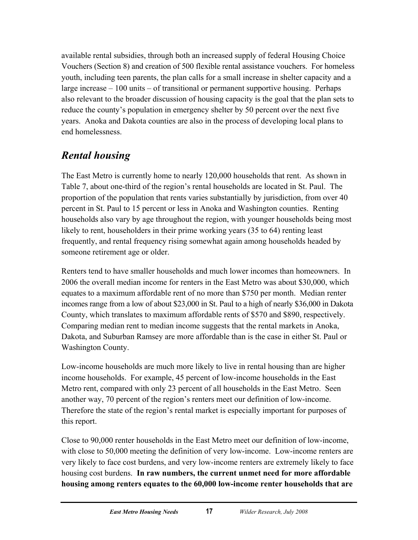<span id="page-22-0"></span>available rental subsidies, through both an increased supply of federal Housing Choice Vouchers (Section 8) and creation of 500 flexible rental assistance vouchers. For homeless youth, including teen parents, the plan calls for a small increase in shelter capacity and a large increase – 100 units – of transitional or permanent supportive housing. Perhaps also relevant to the broader discussion of housing capacity is the goal that the plan sets to reduce the county's population in emergency shelter by 50 percent over the next five years. Anoka and Dakota counties are also in the process of developing local plans to end homelessness.

## *Rental housing*

The East Metro is currently home to nearly 120,000 households that rent. As shown in Table 7, about one-third of the region's rental households are located in St. Paul. The proportion of the population that rents varies substantially by jurisdiction, from over 40 percent in St. Paul to 15 percent or less in Anoka and Washington counties. Renting households also vary by age throughout the region, with younger households being most likely to rent, householders in their prime working years (35 to 64) renting least frequently, and rental frequency rising somewhat again among households headed by someone retirement age or older.

Renters tend to have smaller households and much lower incomes than homeowners. In 2006 the overall median income for renters in the East Metro was about \$30,000, which equates to a maximum affordable rent of no more than \$750 per month. Median renter incomes range from a low of about \$23,000 in St. Paul to a high of nearly \$36,000 in Dakota County, which translates to maximum affordable rents of \$570 and \$890, respectively. Comparing median rent to median income suggests that the rental markets in Anoka, Dakota, and Suburban Ramsey are more affordable than is the case in either St. Paul or Washington County.

Low-income households are much more likely to live in rental housing than are higher income households. For example, 45 percent of low-income households in the East Metro rent, compared with only 23 percent of all households in the East Metro. Seen another way, 70 percent of the region's renters meet our definition of low-income. Therefore the state of the region's rental market is especially important for purposes of this report.

Close to 90,000 renter households in the East Metro meet our definition of low-income, with close to 50,000 meeting the definition of very low-income. Low-income renters are very likely to face cost burdens, and very low-income renters are extremely likely to face housing cost burdens. **In raw numbers, the current unmet need for more affordable housing among renters equates to the 60,000 low-income renter households that are**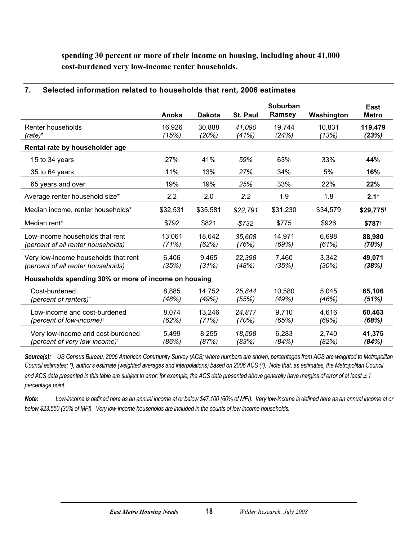<span id="page-23-0"></span>**spending 30 percent or more of their income on housing, including about 41,000 cost-burdened very low-income renter households.** 

|                                                                                         | Anoka           | <b>Dakota</b>   | St. Paul        | <b>Suburban</b><br>Ramsey <sup>t</sup> | Washington      | East<br><b>Metro</b> |
|-----------------------------------------------------------------------------------------|-----------------|-----------------|-----------------|----------------------------------------|-----------------|----------------------|
| Renter households<br>$(rate)^*$                                                         | 16,926<br>(15%) | 30,888<br>(20%) | 41,090<br>(41%) | 19,744<br>(24%)                        | 10,831<br>(13%) | 119,479<br>(23%)     |
| Rental rate by householder age                                                          |                 |                 |                 |                                        |                 |                      |
| 15 to 34 years                                                                          | 27%             | 41%             | 59%             | 63%                                    | 33%             | 44%                  |
| 35 to 64 years                                                                          | 11%             | 13%             | 27%             | 34%                                    | 5%              | 16%                  |
| 65 years and over                                                                       | 19%             | 19%             | 25%             | 33%                                    | 22%             | 22%                  |
| Average renter household size*                                                          | 2.2             | 2.0             | 2.2             | 1.9                                    | 1.8             | 2.1 <sup>†</sup>     |
| Median income, renter households*                                                       | \$32,531        | \$35,581        | \$22,791        | \$31,230                               | \$34,579        | \$29,775             |
| Median rent*                                                                            | \$792           | \$821           | \$732           | \$775                                  | \$926           | \$787 <sup>+</sup>   |
| Low-income households that rent<br>(percent of all renter households) <sup>†</sup>      | 13,061<br>(71%) | 18,642<br>(62%) | 35,608<br>(76%) | 14,971<br>(69%)                        | 6,698<br>(61%)  | 88,980<br>(70%)      |
| Very low-income households that rent<br>(percent of all renter households) <sup>+</sup> | 6,406<br>(35%)  | 9,465<br>(31%)  | 22,398<br>(48%) | 7,460<br>(35%)                         | 3,342<br>(30%)  | 49,071<br>(38%)      |
| Households spending 30% or more of income on housing                                    |                 |                 |                 |                                        |                 |                      |
| Cost-burdened<br>(percent of renters) <sup><math>\dagger</math></sup>                   | 8,885<br>(48%)  | 14,752<br>(49%) | 25,844<br>(55%) | 10,580<br>(49%)                        | 5,045<br>(46%)  | 65,106<br>(51%)      |
| Low-income and cost-burdened<br>(percent of low-income) <sup><math>\dagger</math></sup> | 8,074<br>(62%)  | 13,246<br>(71%) | 24,817<br>(70%) | 9,710<br>(65%)                         | 4,616<br>(69%)  | 60,463<br>(68%)      |
| Very low-income and cost-burdened<br>(percent of very low-income) <sup>+</sup>          | 5,499<br>(86%)  | 8,255<br>(87%)  | 18,598<br>(83%) | 6,283<br>(84%)                         | 2,740<br>(82%)  | 41,375<br>(84%)      |

#### **7. Selected information related to households that rent, 2006 estimates**

*Source(s): US Census Bureau, 2006 American Community Survey (ACS; where numbers are shown, percentages from ACS are weighted to Metropolitan Council estimates; \*), author's estimate (weighted averages and interpolations) based on 2006 ACS (*†*). Note that, as estimates, the Metropolitan Council*  and ACS data presented in this table are subject to error; for example, the ACS data presented above generally have margins of error of at least  $\pm 1$ *percentage point.* 

*Note: Low-income is defined here as an annual income at or below \$47,100 (60% of MFI). Very low-income is defined here as an annual income at or below \$23,550 (30% of MFI). Very low-income households are included in the counts of low-income households.*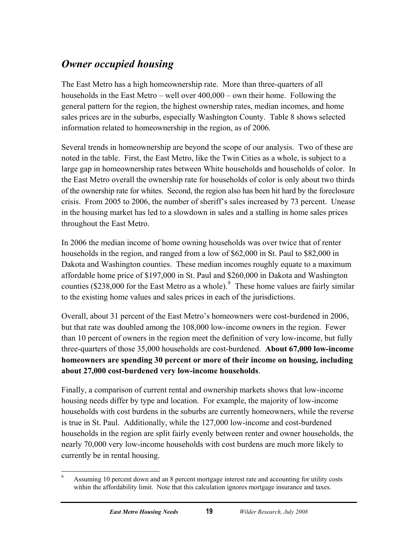## <span id="page-24-0"></span>*Owner occupied housing*

The East Metro has a high homeownership rate. More than three-quarters of all households in the East Metro – well over 400,000 – own their home. Following the general pattern for the region, the highest ownership rates, median incomes, and home sales prices are in the suburbs, especially Washington County. Table 8 shows selected information related to homeownership in the region, as of 2006.

Several trends in homeownership are beyond the scope of our analysis. Two of these are noted in the table. First, the East Metro, like the Twin Cities as a whole, is subject to a large gap in homeownership rates between White households and households of color. In the East Metro overall the ownership rate for households of color is only about two thirds of the ownership rate for whites. Second, the region also has been hit hard by the foreclosure crisis. From 2005 to 2006, the number of sheriff's sales increased by 73 percent. Unease in the housing market has led to a slowdown in sales and a stalling in home sales prices throughout the East Metro.

In 2006 the median income of home owning households was over twice that of renter households in the region, and ranged from a low of \$62,000 in St. Paul to \$82,000 in Dakota and Washington counties. These median incomes roughly equate to a maximum affordable home price of \$197,000 in St. Paul and \$260,000 in Dakota and Washington counties (\$238,000 for the East Metro as a whole). <sup>[9](#page-24-1)</sup> These home values are fairly similar to the existing home values and sales prices in each of the jurisdictions.

Overall, about 31 percent of the East Metro's homeowners were cost-burdened in 2006, but that rate was doubled among the 108,000 low-income owners in the region. Fewer than 10 percent of owners in the region meet the definition of very low-income, but fully three-quarters of those 35,000 households are cost-burdened. **About 67,000 low-income homeowners are spending 30 percent or more of their income on housing, including about 27,000 cost-burdened very low-income households**.

Finally, a comparison of current rental and ownership markets shows that low-income housing needs differ by type and location. For example, the majority of low-income households with cost burdens in the suburbs are currently homeowners, while the reverse is true in St. Paul. Additionally, while the 127,000 low-income and cost-burdened households in the region are split fairly evenly between renter and owner households, the nearly 70,000 very low-income households with cost burdens are much more likely to currently be in rental housing.

<span id="page-24-1"></span><sup>-&</sup>lt;br>9 Assuming 10 percent down and an 8 percent mortgage interest rate and accounting for utility costs within the affordability limit. Note that this calculation ignores mortgage insurance and taxes.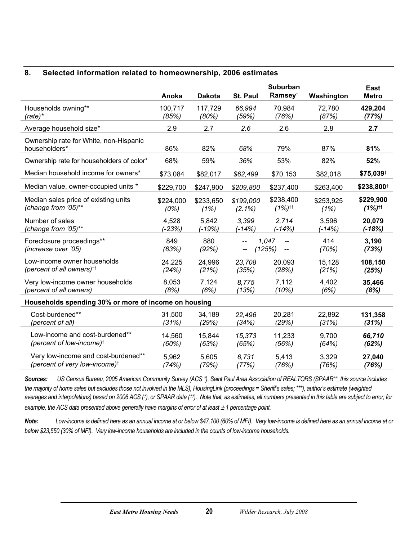#### <span id="page-25-0"></span>**8. Selected information related to homeownership, 2006 estimates**

|                                                         | Anoka        | <b>Dakota</b> | St. Paul  | <b>Suburban</b><br>Ramsey <sup>t</sup>            | Washington   | East<br><b>Metro</b>   |
|---------------------------------------------------------|--------------|---------------|-----------|---------------------------------------------------|--------------|------------------------|
| Households owning**                                     | 100,717      | 117,729       | 66,994    | 70,984                                            | 72,780       | 429,204                |
| $(rate)*$                                               | (85%)        | (80%)         | (59%)     | (76%)                                             | (87%)        | (77%)                  |
| Average household size*                                 | 2.9          | 2.7           | 2.6       | 2.6                                               | 2.8          | 2.7                    |
| Ownership rate for White, non-Hispanic<br>householders* | 86%          | 82%           | 68%       | 79%                                               | 87%          | 81%                    |
| Ownership rate for householders of color*               | 68%          | 59%           | 36%       | 53%                                               | 82%          | 52%                    |
| Median household income for owners*                     | \$73,084     | \$82,017      | \$62,499  | \$70,153                                          | \$82,018     | \$75,039+              |
| Median value, owner-occupied units *                    | \$229,700    | \$247,900     | \$209,800 | \$237,400                                         | \$263,400    | \$238,800 <sup>+</sup> |
| Median sales price of existing units                    | \$224,000    | \$233,650     | \$199,000 | \$238,400                                         | \$253,925    | \$229,900              |
| (change from '05)**                                     | (0%)         | (1%)          | $(2.1\%)$ | $(1%)^{\dagger\dagger}$                           | (1%)         | $(1%)$ <sup>tt</sup>   |
| Number of sales                                         | 4,528        | 5,842         | 3.399     | 2,714                                             | 3,596        | 20,079                 |
| (change from '05)**                                     | (-23%)       | $(-19%)$      | $(-14%)$  | $(-14%)$                                          | (-14%)       | $(-18%)$               |
| Foreclosure proceedings**<br>(increase over '05)        | 849<br>(63%) | 880<br>(92%)  |           | 1,047<br>$\overline{\phantom{a}}$<br>(125%)<br>-- | 414<br>(70%) | 3,190<br>(73%)         |
| Low-income owner households                             | 24,225       | 24,996        | 23,708    | 20,093                                            | 15,128       | 108,150                |
| (percent of all owners) $\dagger$                       | (24%)        | (21%)         | (35%)     | (28%)                                             | (21%)        | (25%)                  |
| Very low-income owner households                        | 8,053        | 7,124         | 8.775     | 7,112                                             | 4,402        | 35,466                 |
| (percent of all owners)                                 | (8%)         | (6%)          | (13%)     | (10%)                                             | (6%)         | (8%)                   |
| Households spending 30% or more of income on housing    |              |               |           |                                                   |              |                        |
| Cost-burdened**                                         | 31,500       | 34,189        | 22,496    | 20,281                                            | 22,892       | 131,358                |
| (percent of all)                                        | (31%)        | (29%)         | (34%)     | (29%)                                             | (31%)        | (31%)                  |
| Low-income and cost-burdened**                          | 14,560       | 15,844        | 15,373    | 11,233                                            | 9,700        | 66,710                 |
| (percent of low-income) <sup>+</sup>                    | (60%)        | (63%)         | (65%)     | (56%)                                             | (64%)        | (62%)                  |
| Very low-income and cost-burdened**                     | 5,962        | 5,605         | 6,731     | 5,413                                             | 3,329        | 27,040                 |
| (percent of very low-income) <sup>+</sup>               | (74%)        | (79%)         | (77%)     | (76%)                                             | (76%)        | (76%)                  |

*Sources: US Census Bureau, 2005 American Community Survey (ACS \*), Saint Paul Area Association of REALTORS (SPAAR\*\*, this source includes the majority of home sales but excludes those not involved in the MLS), HousingLink (proceedings = Sheriff's sales; \*\*\*), author's estimate (weighted averages and interpolations) based on 2006 ACS (*†*), or SPAAR data (*†† *). Note that, as estimates, all numbers presented in this table are subject to error; for example, the ACS data presented above generally have margins of error of at least*  $\pm$  *1 percentage point.* 

*Note: Low-income is defined here as an annual income at or below \$47,100 (60% of MFI). Very low-income is defined here as an annual income at or below \$23,550 (30% of MFI). Very low-income households are included in the counts of low-income households.*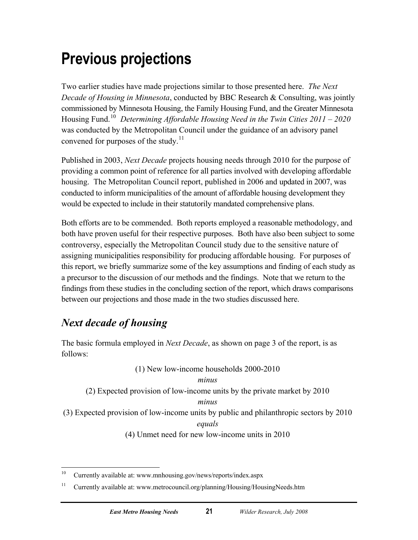## <span id="page-26-0"></span>**Previous projections**

Two earlier studies have made projections similar to those presented here. *The Next Decade of Housing in Minnesota*, conducted by BBC Research & Consulting, was jointly commissioned by Minnesota Housing, the Family Housing Fund, and the Greater Minnesota Housing Fund.[10](#page-26-1) *Determining Affordable Housing Need in the Twin Cities 2011 – 2020* was conducted by the Metropolitan Council under the guidance of an advisory panel convened for purposes of the study.<sup>[11](#page-26-2)</sup>

Published in 2003, *Next Decade* projects housing needs through 2010 for the purpose of providing a common point of reference for all parties involved with developing affordable housing. The Metropolitan Council report, published in 2006 and updated in 2007, was conducted to inform municipalities of the amount of affordable housing development they would be expected to include in their statutorily mandated comprehensive plans.

Both efforts are to be commended. Both reports employed a reasonable methodology, and both have proven useful for their respective purposes. Both have also been subject to some controversy, especially the Metropolitan Council study due to the sensitive nature of assigning municipalities responsibility for producing affordable housing. For purposes of this report, we briefly summarize some of the key assumptions and finding of each study as a precursor to the discussion of our methods and the findings. Note that we return to the findings from these studies in the concluding section of the report, which draws comparisons between our projections and those made in the two studies discussed here.

## *Next decade of housing*

The basic formula employed in *Next Decade*, as shown on page 3 of the report, is as follows:

(1) New low-income households 2000-2010

#### *minus*

(2) Expected provision of low-income units by the private market by 2010

#### *minus*

(3) Expected provision of low-income units by public and philanthropic sectors by 2010

*equals*

(4) Unmet need for new low-income units in 2010

<span id="page-26-1"></span> $10\,$ 10 Currently available at: www.mnhousing.gov/news/reports/index.aspx

<span id="page-26-2"></span><sup>&</sup>lt;sup>11</sup> Currently available at: www.metrocouncil.org/planning/Housing/HousingNeeds.htm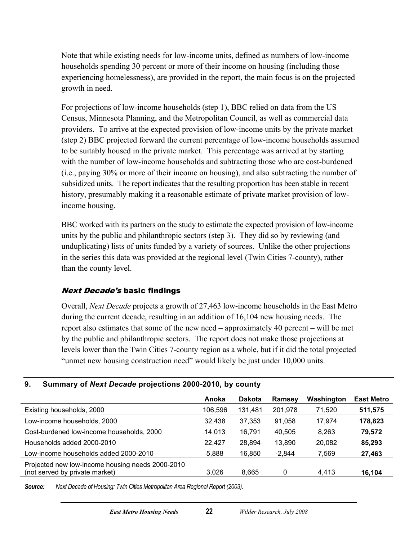<span id="page-27-0"></span>Note that while existing needs for low-income units, defined as numbers of low-income households spending 30 percent or more of their income on housing (including those experiencing homelessness), are provided in the report, the main focus is on the projected growth in need.

For projections of low-income households (step 1), BBC relied on data from the US Census, Minnesota Planning, and the Metropolitan Council, as well as commercial data providers. To arrive at the expected provision of low-income units by the private market (step 2) BBC projected forward the current percentage of low-income households assumed to be suitably housed in the private market. This percentage was arrived at by starting with the number of low-income households and subtracting those who are cost-burdened (i.e., paying 30% or more of their income on housing), and also subtracting the number of subsidized units. The report indicates that the resulting proportion has been stable in recent history, presumably making it a reasonable estimate of private market provision of lowincome housing.

BBC worked with its partners on the study to estimate the expected provision of low-income units by the public and philanthropic sectors (step 3). They did so by reviewing (and unduplicating) lists of units funded by a variety of sources. Unlike the other projections in the series this data was provided at the regional level (Twin Cities 7-county), rather than the county level.

#### Next Decade's basic findings

Overall, *Next Decade* projects a growth of 27,463 low-income households in the East Metro during the current decade, resulting in an addition of 16,104 new housing needs. The report also estimates that some of the new need – approximately 40 percent – will be met by the public and philanthropic sectors. The report does not make those projections at levels lower than the Twin Cities 7-county region as a whole, but if it did the total projected "unmet new housing construction need" would likely be just under 10,000 units.

#### **9. Summary of** *Next Decade* **projections 2000-2010, by county**

|                                                                                    | Anoka   | <b>Dakota</b> | Ramsey   | Washington | <b>East Metro</b> |
|------------------------------------------------------------------------------------|---------|---------------|----------|------------|-------------------|
| Existing households, 2000                                                          | 106,596 | 131,481       | 201,978  | 71.520     | 511,575           |
| Low-income households, 2000                                                        | 32.438  | 37,353        | 91.058   | 17.974     | 178,823           |
| Cost-burdened low-income households, 2000                                          | 14.013  | 16,791        | 40.505   | 8,263      | 79,572            |
| Households added 2000-2010                                                         | 22.427  | 28,894        | 13,890   | 20.082     | 85,293            |
| Low-income households added 2000-2010                                              | 5.888   | 16.850        | $-2.844$ | 7.569      | 27,463            |
| Projected new low-income housing needs 2000-2010<br>(not served by private market) | 3.026   | 8,665         |          | 4.413      | 16,104            |

*Source: Next Decade of Housing: Twin Cities Metropolitan Area Regional Report (2003).*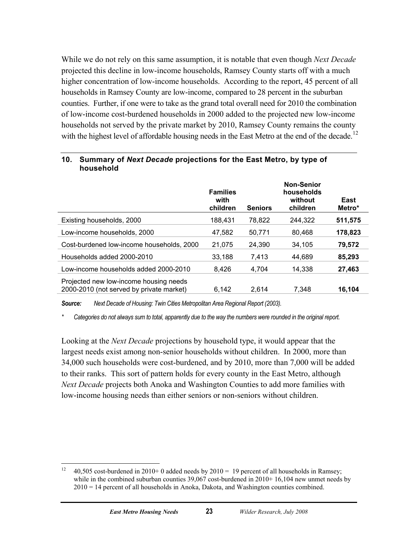<span id="page-28-0"></span>While we do not rely on this same assumption, it is notable that even though *Next Decade* projected this decline in low-income households, Ramsey County starts off with a much higher concentration of low-income households. According to the report, 45 percent of all households in Ramsey County are low-income, compared to 28 percent in the suburban counties. Further, if one were to take as the grand total overall need for 2010 the combination of low-income cost-burdened households in 2000 added to the projected new low-income households not served by the private market by 2010, Ramsey County remains the county with the highest level of affordable housing needs in the East Metro at the end of the decade.<sup>[12](#page-28-1)</sup>

|                                                                                    | <b>Families</b><br>with<br>children | <b>Seniors</b> | Non-Senior<br>households<br>without<br>children | East<br>Metro* |
|------------------------------------------------------------------------------------|-------------------------------------|----------------|-------------------------------------------------|----------------|
| Existing households, 2000                                                          | 188.431                             | 78,822         | 244.322                                         | 511,575        |
| Low-income households, 2000                                                        | 47.582                              | 50,771         | 80.468                                          | 178,823        |
| Cost-burdened low-income households, 2000                                          | 21,075                              | 24,390         | 34,105                                          | 79,572         |
| Households added 2000-2010                                                         | 33.188                              | 7.413          | 44,689                                          | 85,293         |
| Low-income households added 2000-2010                                              | 8.426                               | 4.704          | 14.338                                          | 27,463         |
| Projected new low-income housing needs<br>2000-2010 (not served by private market) | 6,142                               | 2.614          | 7.348                                           | 16.104         |

#### **10. Summary of** *Next Decade* **projections for the East Metro, by type of household**

*Source: Next Decade of Housing: Twin Cities Metropolitan Area Regional Report (2003).* 

*\* Categories do not always sum to total, apparently due to the way the numbers were rounded in the original report.* 

Looking at the *Next Decade* projections by household type, it would appear that the largest needs exist among non-senior households without children. In 2000, more than 34,000 such households were cost-burdened, and by 2010, more than 7,000 will be added to their ranks. This sort of pattern holds for every county in the East Metro, although *Next Decade* projects both Anoka and Washington Counties to add more families with low-income housing needs than either seniors or non-seniors without children.

<span id="page-28-1"></span> $12$ 40,505 cost-burdened in 2010+ 0 added needs by  $2010 = 19$  percent of all households in Ramsey; while in the combined suburban counties 39,067 cost-burdened in 2010+ 16,104 new unmet needs by 2010 = 14 percent of all households in Anoka, Dakota, and Washington counties combined.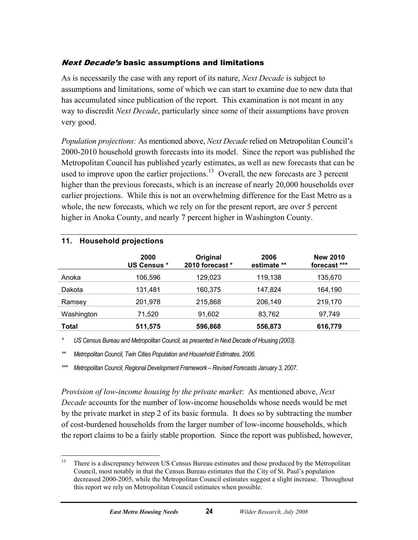#### <span id="page-29-0"></span>Next Decade's basic assumptions and limitations

As is necessarily the case with any report of its nature, *Next Decade* is subject to assumptions and limitations, some of which we can start to examine due to new data that has accumulated since publication of the report. This examination is not meant in any way to discredit *Next Decade*, particularly since some of their assumptions have proven very good.

*Population projections:* As mentioned above, *Next Decade* relied on Metropolitan Council's 2000-2010 household growth forecasts into its model. Since the report was published the Metropolitan Council has published yearly estimates, as well as new forecasts that can be used to improve upon the earlier projections.<sup>[13](#page-29-1)</sup> Overall, the new forecasts are 3 percent higher than the previous forecasts, which is an increase of nearly 20,000 households over earlier projections. While this is not an overwhelming difference for the East Metro as a whole, the new forecasts, which we rely on for the present report, are over 5 percent higher in Anoka County, and nearly 7 percent higher in Washington County.

| .          | <b>HOUSEIIOIU DI OIECHOIIS</b> |                             |                     |                                 |
|------------|--------------------------------|-----------------------------|---------------------|---------------------------------|
|            | 2000<br><b>US Census *</b>     | Original<br>2010 forecast * | 2006<br>estimate ** | <b>New 2010</b><br>forecast *** |
| Anoka      | 106,596                        | 129,023                     | 119,138             | 135,670                         |
| Dakota     | 131,481                        | 160,375                     | 147,824             | 164,190                         |
| Ramsey     | 201,978                        | 215,868                     | 206,149             | 219,170                         |
| Washington | 71.520                         | 91.602                      | 83,762              | 97.749                          |
| Total      | 511,575                        | 596,868                     | 556,873             | 616,779                         |

#### **11. Household projections**

*\* US Census Bureau and Metropolitan Council, as presented in Next Decade of Housing (2003).* 

*\*\* Metropolitan Council, Twin Cities Population and Household Estimates, 2006.* 

*\*\*\* Metropolitan Council, Regional Development Framework – Revised Forecasts January 3, 2007.* 

*Provision of low-income housing by the private market*: As mentioned above, *Next Decade* accounts for the number of low-income households whose needs would be met by the private market in step 2 of its basic formula. It does so by subtracting the number of cost-burdened households from the larger number of low-income households, which the report claims to be a fairly stable proportion. Since the report was published, however,

<span id="page-29-1"></span><sup>13</sup> 13 There is a discrepancy between US Census Bureau estimates and those produced by the Metropolitan Council, most notably in that the Census Bureau estimates that the City of St. Paul's population decreased 2000-2005, while the Metropolitan Council estimates suggest a slight increase. Throughout this report we rely on Metropolitan Council estimates when possible.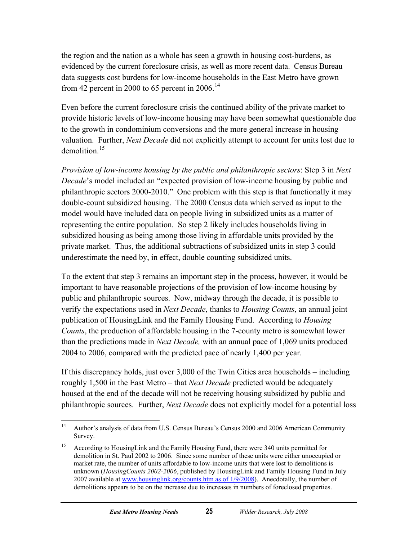the region and the nation as a whole has seen a growth in housing cost-burdens, as evidenced by the current foreclosure crisis, as well as more recent data. Census Bureau data suggests cost burdens for low-income households in the East Metro have grown from 42 percent in 2000 to 65 percent in 2006.<sup>[14](#page-30-0)</sup>

Even before the current foreclosure crisis the continued ability of the private market to provide historic levels of low-income housing may have been somewhat questionable due to the growth in condominium conversions and the more general increase in housing valuation. Further, *Next Decade* did not explicitly attempt to account for units lost due to demolition.<sup>[15](#page-30-1)</sup>

*Provision of low-income housing by the public and philanthropic sectors*: Step 3 in *Next Decade*'s model included an "expected provision of low-income housing by public and philanthropic sectors 2000-2010." One problem with this step is that functionally it may double-count subsidized housing. The 2000 Census data which served as input to the model would have included data on people living in subsidized units as a matter of representing the entire population. So step 2 likely includes households living in subsidized housing as being among those living in affordable units provided by the private market. Thus, the additional subtractions of subsidized units in step 3 could underestimate the need by, in effect, double counting subsidized units.

To the extent that step 3 remains an important step in the process, however, it would be important to have reasonable projections of the provision of low-income housing by public and philanthropic sources. Now, midway through the decade, it is possible to verify the expectations used in *Next Decade*, thanks to *Housing Counts*, an annual joint publication of HousingLink and the Family Housing Fund. According to *Housing Counts*, the production of affordable housing in the 7-county metro is somewhat lower than the predictions made in *Next Decade,* with an annual pace of 1,069 units produced 2004 to 2006, compared with the predicted pace of nearly 1,400 per year.

If this discrepancy holds, just over 3,000 of the Twin Cities area households – including roughly 1,500 in the East Metro – that *Next Decade* predicted would be adequately housed at the end of the decade will not be receiving housing subsidized by public and philanthropic sources. Further, *Next Decade* does not explicitly model for a potential loss

<span id="page-30-0"></span> $14\phantom{.}$ 14 Author's analysis of data from U.S. Census Bureau's Census 2000 and 2006 American Community Survey.

<span id="page-30-1"></span><sup>&</sup>lt;sup>15</sup> According to HousingLink and the Family Housing Fund, there were 340 units permitted for demolition in St. Paul 2002 to 2006. Since some number of these units were either unoccupied or market rate, the number of units affordable to low-income units that were lost to demolitions is unknown (*HousingCounts 2002-2006*, published by HousingLink and Family Housing Fund in July 2007 available at www.housinglink.org/counts.htm as of  $1/9/2008$ ). Anecdotally, the number of demolitions appears to be on the increase due to increases in numbers of foreclosed properties.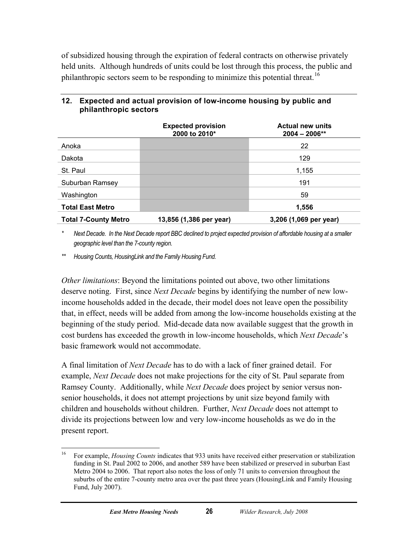<span id="page-31-0"></span>of subsidized housing through the expiration of federal contracts on otherwise privately held units. Although hundreds of units could be lost through this process, the public and philanthropic sectors seem to be responding to minimize this potential threat.<sup>[16](#page-31-1)</sup>

|                             | <b>Expected provision</b><br>2000 to 2010* | <b>Actual new units</b><br>$2004 - 2006**$ |
|-----------------------------|--------------------------------------------|--------------------------------------------|
| Anoka                       |                                            | 22                                         |
| Dakota                      |                                            | 129                                        |
| St. Paul                    |                                            | 1,155                                      |
| Suburban Ramsey             |                                            | 191                                        |
| Washington                  |                                            | 59                                         |
| <b>Total East Metro</b>     |                                            | 1,556                                      |
| <b>Total 7-County Metro</b> | 13,856 (1,386 per year)                    | 3,206 (1,069 per year)                     |

#### **12. Expected and actual provision of low-income housing by public and philanthropic sectors**

*\* Next Decade. In the Next Decade report BBC declined to project expected provision of affordable housing at a smaller geographic level than the 7-county region.* 

*\*\* Housing Counts, HousingLink and the Family Housing Fund.* 

*Other limitations*: Beyond the limitations pointed out above, two other limitations deserve noting. First, since *Next Decade* begins by identifying the number of new lowincome households added in the decade, their model does not leave open the possibility that, in effect, needs will be added from among the low-income households existing at the beginning of the study period. Mid-decade data now available suggest that the growth in cost burdens has exceeded the growth in low-income households, which *Next Decade*'s basic framework would not accommodate.

A final limitation of *Next Decade* has to do with a lack of finer grained detail. For example, *Next Decade* does not make projections for the city of St. Paul separate from Ramsey County. Additionally, while *Next Decade* does project by senior versus nonsenior households, it does not attempt projections by unit size beyond family with children and households without children. Further, *Next Decade* does not attempt to divide its projections between low and very low-income households as we do in the present report.

<span id="page-31-1"></span><sup>16</sup> 16 For example, *Housing Counts* indicates that 933 units have received either preservation or stabilization funding in St. Paul 2002 to 2006, and another 589 have been stabilized or preserved in suburban East Metro 2004 to 2006. That report also notes the loss of only 71 units to conversion throughout the suburbs of the entire 7-county metro area over the past three years (HousingLink and Family Housing Fund, July 2007).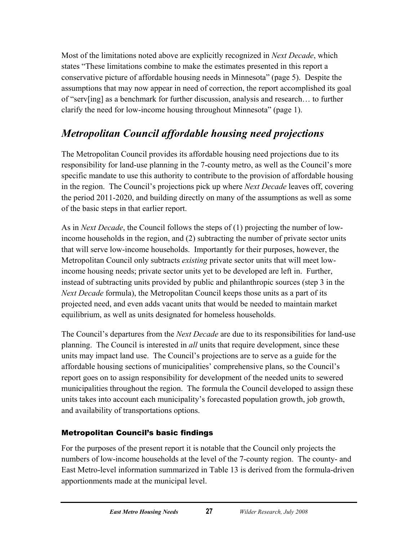<span id="page-32-0"></span>Most of the limitations noted above are explicitly recognized in *Next Decade*, which states "These limitations combine to make the estimates presented in this report a conservative picture of affordable housing needs in Minnesota" (page 5). Despite the assumptions that may now appear in need of correction, the report accomplished its goal of "serv[ing] as a benchmark for further discussion, analysis and research… to further clarify the need for low-income housing throughout Minnesota" (page 1).

## *Metropolitan Council affordable housing need projections*

The Metropolitan Council provides its affordable housing need projections due to its responsibility for land-use planning in the 7-county metro, as well as the Council's more specific mandate to use this authority to contribute to the provision of affordable housing in the region. The Council's projections pick up where *Next Decade* leaves off, covering the period 2011-2020, and building directly on many of the assumptions as well as some of the basic steps in that earlier report.

As in *Next Decade*, the Council follows the steps of (1) projecting the number of lowincome households in the region, and (2) subtracting the number of private sector units that will serve low-income households. Importantly for their purposes, however, the Metropolitan Council only subtracts *existing* private sector units that will meet lowincome housing needs; private sector units yet to be developed are left in. Further, instead of subtracting units provided by public and philanthropic sources (step 3 in the *Next Decade* formula), the Metropolitan Council keeps those units as a part of its projected need, and even adds vacant units that would be needed to maintain market equilibrium, as well as units designated for homeless households.

The Council's departures from the *Next Decade* are due to its responsibilities for land-use planning. The Council is interested in *all* units that require development, since these units may impact land use. The Council's projections are to serve as a guide for the affordable housing sections of municipalities' comprehensive plans, so the Council's report goes on to assign responsibility for development of the needed units to sewered municipalities throughout the region. The formula the Council developed to assign these units takes into account each municipality's forecasted population growth, job growth, and availability of transportations options.

#### Metropolitan Council's basic findings

For the purposes of the present report it is notable that the Council only projects the numbers of low-income households at the level of the 7-county region. The county- and East Metro-level information summarized in Table 13 is derived from the formula-driven apportionments made at the municipal level.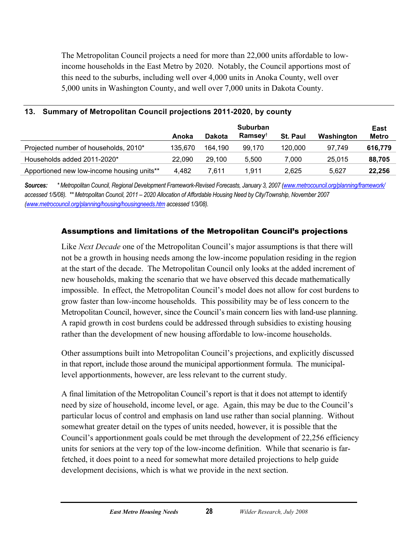<span id="page-33-0"></span>The Metropolitan Council projects a need for more than 22,000 units affordable to lowincome households in the East Metro by 2020. Notably, the Council apportions most of this need to the suburbs, including well over 4,000 units in Anoka County, well over 5,000 units in Washington County, and well over 7,000 units in Dakota County.

|                                            | Anoka   | <b>Dakota</b> | <b>Suburban</b><br><b>Ramsey</b> t | St. Paul | Washington | East<br><b>Metro</b> |
|--------------------------------------------|---------|---------------|------------------------------------|----------|------------|----------------------|
| Projected number of households, 2010*      | 135.670 | 164.190       | 99.170                             | 120,000  | 97.749     | 616,779              |
| Households added 2011-2020*                | 22,090  | 29.100        | 5.500                              | 7.000    | 25,015     | 88,705               |
| Apportioned new low-income housing units** | 4.482   | 7.611         | 1.911                              | 2,625    | 5.627      | 22,256               |

#### **13. Summary of Metropolitan Council projections 2011-2020, by county**

*Sources: \* Metropolitan Council, Regional Development Framework-Revised Forecasts, January 3, 2007 [\(www.metrocouncil.org/planning/framework/](http://www.metrocouncil.org/planning/framework/) accessed 1/5/08). \*\* Metropolitan Council, 2011 – 2020 Allocation of Affordable Housing Need by City/Township, November 2007 ([www.metrocouncil.org/planning/housing/housingneeds.htm](http://www.metrocouncil.org/planning/housing/housingneeds.htm) accessed 1/3/08).*

#### Assumptions and limitations of the Metropolitan Council's projections

Like *Next Decade* one of the Metropolitan Council's major assumptions is that there will not be a growth in housing needs among the low-income population residing in the region at the start of the decade. The Metropolitan Council only looks at the added increment of new households, making the scenario that we have observed this decade mathematically impossible. In effect, the Metropolitan Council's model does not allow for cost burdens to grow faster than low-income households. This possibility may be of less concern to the Metropolitan Council, however, since the Council's main concern lies with land-use planning. A rapid growth in cost burdens could be addressed through subsidies to existing housing rather than the development of new housing affordable to low-income households.

Other assumptions built into Metropolitan Council's projections, and explicitly discussed in that report, include those around the municipal apportionment formula. The municipallevel apportionments, however, are less relevant to the current study.

A final limitation of the Metropolitan Council's report is that it does not attempt to identify need by size of household, income level, or age. Again, this may be due to the Council's particular locus of control and emphasis on land use rather than social planning. Without somewhat greater detail on the types of units needed, however, it is possible that the Council's apportionment goals could be met through the development of 22,256 efficiency units for seniors at the very top of the low-income definition. While that scenario is farfetched, it does point to a need for somewhat more detailed projections to help guide development decisions, which is what we provide in the next section.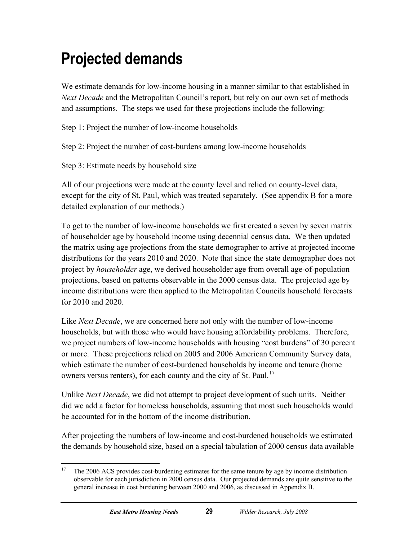## <span id="page-34-0"></span>**Projected demands**

We estimate demands for low-income housing in a manner similar to that established in *Next Decade* and the Metropolitan Council's report, but rely on our own set of methods and assumptions. The steps we used for these projections include the following:

Step 1: Project the number of low-income households

Step 2: Project the number of cost-burdens among low-income households

Step 3: Estimate needs by household size

All of our projections were made at the county level and relied on county-level data, except for the city of St. Paul, which was treated separately. (See appendix B for a more detailed explanation of our methods.)

To get to the number of low-income households we first created a seven by seven matrix of householder age by household income using decennial census data. We then updated the matrix using age projections from the state demographer to arrive at projected income distributions for the years 2010 and 2020. Note that since the state demographer does not project by *householder* age, we derived householder age from overall age-of-population projections, based on patterns observable in the 2000 census data. The projected age by income distributions were then applied to the Metropolitan Councils household forecasts for 2010 and 2020.

Like *Next Decade*, we are concerned here not only with the number of low-income households, but with those who would have housing affordability problems. Therefore, we project numbers of low-income households with housing "cost burdens" of 30 percent or more. These projections relied on 2005 and 2006 American Community Survey data, which estimate the number of cost-burdened households by income and tenure (home owners versus renters), for each county and the city of St. Paul.<sup>[17](#page-34-1)</sup>

Unlike *Next Decade*, we did not attempt to project development of such units. Neither did we add a factor for homeless households, assuming that most such households would be accounted for in the bottom of the income distribution.

After projecting the numbers of low-income and cost-burdened households we estimated the demands by household size, based on a special tabulation of 2000 census data available

<span id="page-34-1"></span><sup>17</sup> 17 The 2006 ACS provides cost-burdening estimates for the same tenure by age by income distribution observable for each jurisdiction in 2000 census data. Our projected demands are quite sensitive to the general increase in cost burdening between 2000 and 2006, as discussed in Appendix B.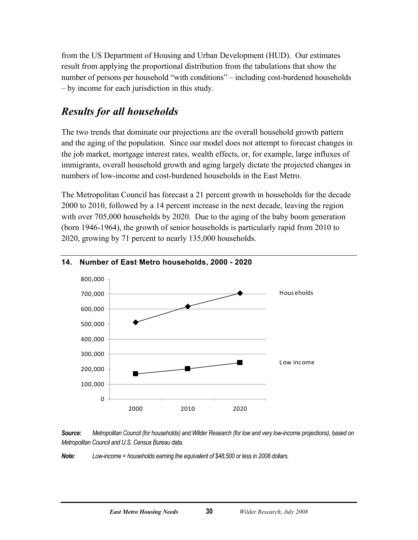<span id="page-35-0"></span>from the US Department of Housing and Urban Development (HUD). Our estimates result from applying the proportional distribution from the tabulations that show the number of persons per household "with conditions" – including cost-burdened households – by income for each jurisdiction in this study.

### *Results for all households*

The two trends that dominate our projections are the overall household growth pattern and the aging of the population. Since our model does not attempt to forecast changes in the job market, mortgage interest rates, wealth effects, or, for example, large influxes of immigrants, overall household growth and aging largely dictate the projected changes in numbers of low-income and cost-burdened households in the East Metro.

The Metropolitan Council has forecast a 21 percent growth in households for the decade 2000 to 2010, followed by a 14 percent increase in the next decade, leaving the region with over 705,000 households by 2020. Due to the aging of the baby boom generation (born 1946-1964), the growth of senior households is particularly rapid from 2010 to 2020, growing by 71 percent to nearly 135,000 households.



#### **14. Number of East Metro households, 2000 - 2020**

*Source: Metropolitan Council (for households) and Wilder Research (for low and very low-income projections), based on Metropolitan Council and U.S. Census Bureau data.* 

*Note: Low-income = households earning the equivalent of \$48,500 or less in 2008 dollars.*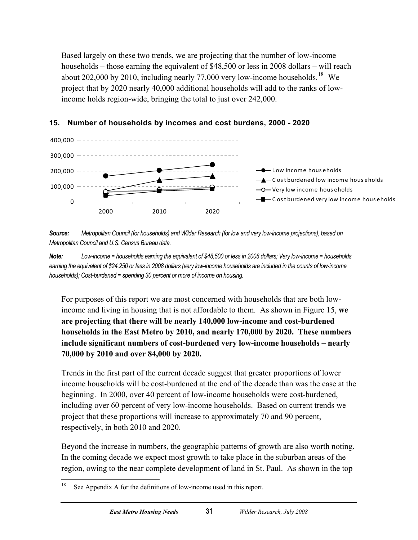<span id="page-36-0"></span>Based largely on these two trends, we are projecting that the number of low-income households – those earning the equivalent of \$48,500 or less in 2008 dollars – will reach about 202,000 by 2010, including nearly 77,000 very low-income households.<sup>[18](#page-36-1)</sup> We project that by 2020 nearly 40,000 additional households will add to the ranks of lowincome holds region-wide, bringing the total to just over 242,000.





*Source: Metropolitan Council (for households) and Wilder Research (for low and very low-income projections), based on Metropolitan Council and U.S. Census Bureau data.* 

*Note: Low-income = households earning the equivalent of \$48,500 or less in 2008 dollars; Very low-income = households earning the equivalent of \$24,250 or less in 2008 dollars (very low-income households are included in the counts of low-income households); Cost-burdened = spending 30 percent or more of income on housing.* 

For purposes of this report we are most concerned with households that are both lowincome and living in housing that is not affordable to them. As shown in Figure 15, **we are projecting that there will be nearly 140,000 low-income and cost-burdened households in the East Metro by 2010, and nearly 170,000 by 2020. These numbers include significant numbers of cost-burdened very low-income households – nearly 70,000 by 2010 and over 84,000 by 2020.** 

Trends in the first part of the current decade suggest that greater proportions of lower income households will be cost-burdened at the end of the decade than was the case at the beginning. In 2000, over 40 percent of low-income households were cost-burdened, including over 60 percent of very low-income households. Based on current trends we project that these proportions will increase to approximately 70 and 90 percent, respectively, in both 2010 and 2020.

Beyond the increase in numbers, the geographic patterns of growth are also worth noting. In the coming decade we expect most growth to take place in the suburban areas of the region, owing to the near complete development of land in St. Paul. As shown in the top

<span id="page-36-1"></span> $18\,$ See Appendix A for the definitions of low-income used in this report.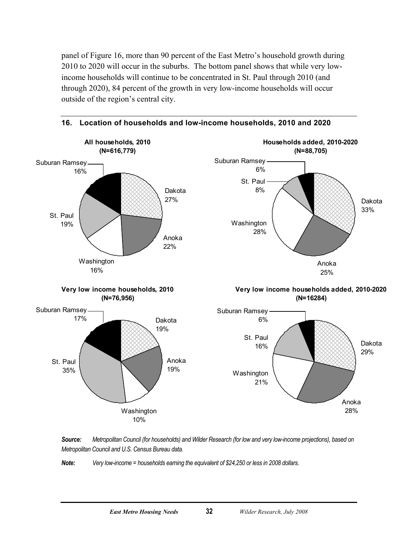<span id="page-37-0"></span>panel of Figure 16, more than 90 percent of the East Metro's household growth during 2010 to 2020 will occur in the suburbs. The bottom panel shows that while very lowincome households will continue to be concentrated in St. Paul through 2010 (and through 2020), 84 percent of the growth in very low-income households will occur outside of the region's central city.







*Note: Very low-income = households earning the equivalent of \$24,250 or less in 2008 dollars.*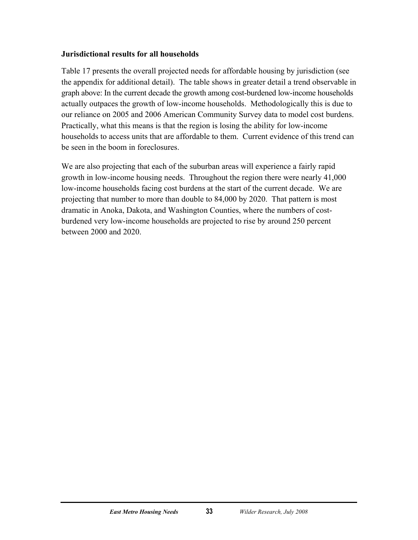#### **Jurisdictional results for all households**

Table 17 presents the overall projected needs for affordable housing by jurisdiction (see the appendix for additional detail). The table shows in greater detail a trend observable in graph above: In the current decade the growth among cost-burdened low-income households actually outpaces the growth of low-income households. Methodologically this is due to our reliance on 2005 and 2006 American Community Survey data to model cost burdens. Practically, what this means is that the region is losing the ability for low-income households to access units that are affordable to them. Current evidence of this trend can be seen in the boom in foreclosures.

We are also projecting that each of the suburban areas will experience a fairly rapid growth in low-income housing needs. Throughout the region there were nearly 41,000 low-income households facing cost burdens at the start of the current decade. We are projecting that number to more than double to 84,000 by 2020. That pattern is most dramatic in Anoka, Dakota, and Washington Counties, where the numbers of costburdened very low-income households are projected to rise by around 250 percent between 2000 and 2020.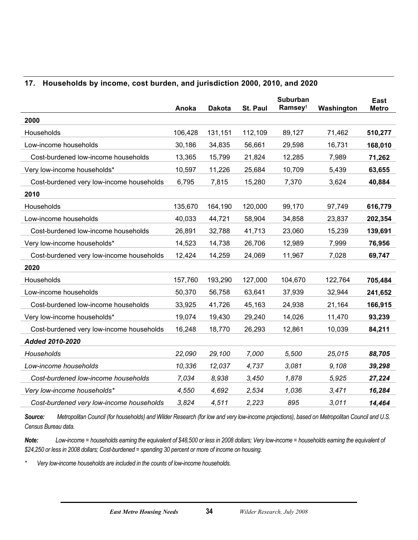#### <span id="page-39-0"></span>**17. Households by income, cost burden, and jurisdiction 2000, 2010, and 2020**

|                                          | Anoka   | <b>Dakota</b> | St. Paul | <b>Suburban</b><br>Ramsey <sup>t</sup> | Washington | <b>East</b><br><b>Metro</b> |
|------------------------------------------|---------|---------------|----------|----------------------------------------|------------|-----------------------------|
| 2000                                     |         |               |          |                                        |            |                             |
| Households                               | 106,428 | 131,151       | 112,109  | 89,127                                 | 71,462     | 510,277                     |
| Low-income households                    | 30,186  | 34,835        | 56,661   | 29,598                                 | 16,731     | 168,010                     |
| Cost-burdened low-income households      | 13,365  | 15,799        | 21,824   | 12,285                                 | 7,989      | 71,262                      |
| Very low-income households*              | 10,597  | 11,226        | 25,684   | 10,709                                 | 5,439      | 63,655                      |
| Cost-burdened very low-income households | 6,795   | 7,815         | 15,280   | 7,370                                  | 3,624      | 40,884                      |
| 2010                                     |         |               |          |                                        |            |                             |
| Households                               | 135,670 | 164,190       | 120,000  | 99,170                                 | 97,749     | 616,779                     |
| Low-income households                    | 40,033  | 44,721        | 58,904   | 34,858                                 | 23,837     | 202,354                     |
| Cost-burdened low-income households      | 26,891  | 32,788        | 41,713   | 23,060                                 | 15,239     | 139,691                     |
| Very low-income households*              | 14,523  | 14,738        | 26,706   | 12,989                                 | 7,999      | 76,956                      |
| Cost-burdened very low-income households | 12,424  | 14,259        | 24,069   | 11,967                                 | 7,028      | 69,747                      |
| 2020                                     |         |               |          |                                        |            |                             |
| Households                               | 157,760 | 193,290       | 127,000  | 104,670                                | 122,764    | 705,484                     |
| Low-income households                    | 50,370  | 56,758        | 63,641   | 37,939                                 | 32,944     | 241,652                     |
| Cost-burdened low-income households      | 33,925  | 41,726        | 45,163   | 24,938                                 | 21,164     | 166,915                     |
| Very low-income households*              | 19,074  | 19,430        | 29,240   | 14,026                                 | 11,470     | 93,239                      |
| Cost-burdened very low-income households | 16,248  | 18,770        | 26,293   | 12,861                                 | 10,039     | 84,211                      |
| <b>Added 2010-2020</b>                   |         |               |          |                                        |            |                             |
| Households                               | 22,090  | 29,100        | 7,000    | 5,500                                  | 25,015     | 88,705                      |
| Low-income households                    | 10,336  | 12,037        | 4,737    | 3,081                                  | 9,108      | 39,298                      |
| Cost-burdened low-income households      | 7,034   | 8,938         | 3,450    | 1,878                                  | 5,925      | 27,224                      |
| Very low-income households*              | 4,550   | 4,692         | 2,534    | 1,036                                  | 3,471      | 16,284                      |
| Cost-burdened very low-income households | 3,824   | 4,511         | 2,223    | 895                                    | 3,011      | 14,464                      |

*Source: Metropolitan Council (for households) and Wilder Research (for low and very low-income projections), based on Metropolitan Council and U.S. Census Bureau data.* 

**Note:** *Low-income = households earning the equivalent of \$48,500 or less in 2008 dollars; Very low-income = households earning the equivalent of \$24,250 or less in 2008 dollars; Cost-burdened = spending 30 percent or more of income on housing.*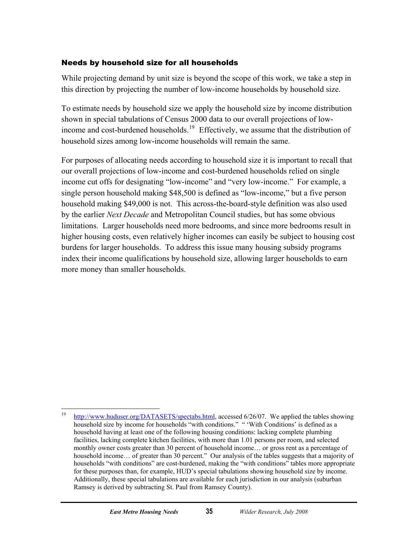#### Needs by household size for all households

While projecting demand by unit size is beyond the scope of this work, we take a step in this direction by projecting the number of low-income households by household size.

To estimate needs by household size we apply the household size by income distribution shown in special tabulations of Census 2000 data to our overall projections of low-income and cost-burdened households.<sup>[19](#page-40-0)</sup> Effectively, we assume that the distribution of household sizes among low-income households will remain the same.

For purposes of allocating needs according to household size it is important to recall that our overall projections of low-income and cost-burdened households relied on single income cut offs for designating "low-income" and "very low-income." For example, a single person household making \$48,500 is defined as "low-income," but a five person household making \$49,000 is not. This across-the-board-style definition was also used by the earlier *Next Decade* and Metropolitan Council studies, but has some obvious limitations. Larger households need more bedrooms, and since more bedrooms result in higher housing costs, even relatively higher incomes can easily be subject to housing cost burdens for larger households. To address this issue many housing subsidy programs index their income qualifications by household size, allowing larger households to earn more money than smaller households.

<span id="page-40-0"></span><sup>19</sup> [http://www.huduser.org/DATASETS/spectabs.html,](http://www.huduser.org/DATASETS/spectabs.html) accessed 6/26/07. We applied the tables showing household size by income for households "with conditions." " 'With Conditions' is defined as a household having at least one of the following housing conditions: lacking complete plumbing facilities, lacking complete kitchen facilities, with more than 1.01 persons per room, and selected monthly owner costs greater than 30 percent of household income… or gross rent as a percentage of household income... of greater than 30 percent." Our analysis of the tables suggests that a majority of households "with conditions" are cost-burdened, making the "with conditions" tables more appropriate for these purposes than, for example, HUD's special tabulations showing household size by income. Additionally, these special tabulations are available for each jurisdiction in our analysis (suburban Ramsey is derived by subtracting St. Paul from Ramsey County).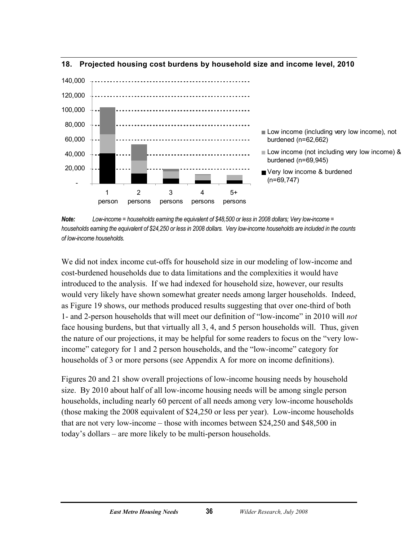

#### <span id="page-41-0"></span>**18. Projected housing cost burdens by household size and income level, 2010**

*Note: Low-income = households earning the equivalent of \$48,500 or less in 2008 dollars; Very low-income = households earning the equivalent of \$24,250 or less in 2008 dollars. Very low-income households are included in the counts of low-income households.* 

We did not index income cut-offs for household size in our modeling of low-income and cost-burdened households due to data limitations and the complexities it would have introduced to the analysis. If we had indexed for household size, however, our results would very likely have shown somewhat greater needs among larger households. Indeed, as Figure 19 shows, our methods produced results suggesting that over one-third of both 1- and 2-person households that will meet our definition of "low-income" in 2010 will *not* face housing burdens, but that virtually all 3, 4, and 5 person households will. Thus, given the nature of our projections, it may be helpful for some readers to focus on the "very lowincome" category for 1 and 2 person households, and the "low-income" category for households of 3 or more persons (see Appendix A for more on income definitions).

Figures 20 and 21 show overall projections of low-income housing needs by household size. By 2010 about half of all low-income housing needs will be among single person households, including nearly 60 percent of all needs among very low-income households (those making the 2008 equivalent of \$24,250 or less per year). Low-income households that are not very low-income – those with incomes between \$24,250 and \$48,500 in today's dollars – are more likely to be multi-person households.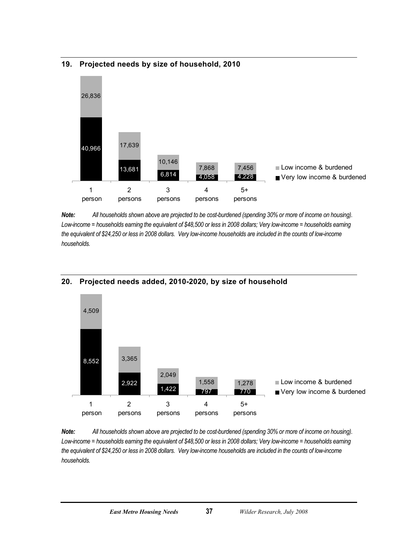

#### <span id="page-42-0"></span>**19. Projected needs by size of household, 2010**

*Note: All households shown above are projected to be cost-burdened (spending 30% or more of income on housing).*  Low-income = households earning the equivalent of \$48,500 or less in 2008 dollars; Very low-income = households earning *the equivalent of \$24,250 or less in 2008 dollars. Very low-income households are included in the counts of low-income households.* 



#### **20. Projected needs added, 2010-2020, by size of household**

*Note: All households shown above are projected to be cost-burdened (spending 30% or more of income on housing).*  Low-income = households earning the equivalent of \$48,500 or less in 2008 dollars; Very low-income = households earning *the equivalent of \$24,250 or less in 2008 dollars. Very low-income households are included in the counts of low-income households.*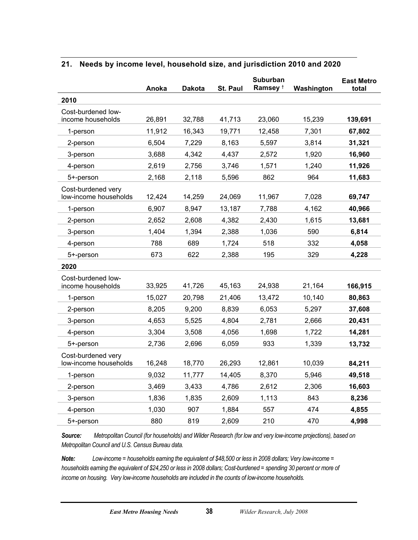|                                             | Anoka  | <b>Dakota</b> | St. Paul | Suburban<br>Ramsey <sup>t</sup> | Washington | <b>East Metro</b><br>total |
|---------------------------------------------|--------|---------------|----------|---------------------------------|------------|----------------------------|
| 2010                                        |        |               |          |                                 |            |                            |
| Cost-burdened low-<br>income households     | 26,891 | 32,788        | 41,713   | 23,060                          | 15,239     | 139,691                    |
| 1-person                                    | 11,912 | 16,343        | 19,771   | 12,458                          | 7,301      | 67,802                     |
| 2-person                                    | 6,504  | 7,229         | 8,163    | 5,597                           | 3,814      | 31,321                     |
| 3-person                                    | 3,688  | 4,342         | 4,437    | 2,572                           | 1,920      | 16,960                     |
| 4-person                                    | 2,619  | 2,756         | 3,746    | 1,571                           | 1,240      | 11,926                     |
| 5+-person                                   | 2,168  | 2,118         | 5,596    | 862                             | 964        | 11,683                     |
| Cost-burdened very<br>low-income households | 12,424 | 14,259        | 24,069   | 11,967                          | 7,028      | 69,747                     |
| 1-person                                    | 6,907  | 8,947         | 13,187   | 7,788                           | 4,162      | 40,966                     |
| 2-person                                    | 2,652  | 2,608         | 4,382    | 2,430                           | 1,615      | 13,681                     |
| 3-person                                    | 1,404  | 1,394         | 2,388    | 1,036                           | 590        | 6,814                      |
| 4-person                                    | 788    | 689           | 1,724    | 518                             | 332        | 4,058                      |
| 5+-person                                   | 673    | 622           | 2,388    | 195                             | 329        | 4,228                      |
| 2020                                        |        |               |          |                                 |            |                            |
| Cost-burdened low-<br>income households     | 33,925 | 41,726        | 45,163   | 24,938                          | 21,164     | 166,915                    |
| 1-person                                    | 15,027 | 20,798        | 21,406   | 13,472                          | 10,140     | 80,863                     |
| 2-person                                    | 8,205  | 9,200         | 8,839    | 6,053                           | 5,297      | 37,608                     |
| 3-person                                    | 4,653  | 5,525         | 4,804    | 2,781                           | 2,666      | 20,431                     |
| 4-person                                    | 3,304  | 3,508         | 4,056    | 1,698                           | 1,722      | 14,281                     |
| 5+-person                                   | 2,736  | 2,696         | 6,059    | 933                             | 1,339      | 13,732                     |
| Cost-burdened very<br>low-income households | 16,248 | 18,770        | 26,293   | 12,861                          | 10,039     | 84,211                     |
| 1-person                                    | 9,032  | 11,777        | 14,405   | 8,370                           | 5,946      | 49,518                     |
| 2-person                                    | 3,469  | 3,433         | 4,786    | 2,612                           | 2,306      | 16,603                     |
| 3-person                                    | 1,836  | 1,835         | 2,609    | 1,113                           | 843        | 8,236                      |
| 4-person                                    | 1,030  | 907           | 1,884    | 557                             | 474        | 4,855                      |
| 5+-person                                   | 880    | 819           | 2,609    | 210                             | 470        | 4,998                      |

#### <span id="page-43-0"></span>**21. Needs by income level, household size, and jurisdiction 2010 and 2020**

*Source: Metropolitan Council (for households) and Wilder Research (for low and very low-income projections), based on Metropolitan Council and U.S. Census Bureau data.* 

*Note: Low-income = households earning the equivalent of \$48,500 or less in 2008 dollars; Very low-income = households earning the equivalent of \$24,250 or less in 2008 dollars; Cost-burdened = spending 30 percent or more of income on housing. Very low-income households are included in the counts of low-income households.*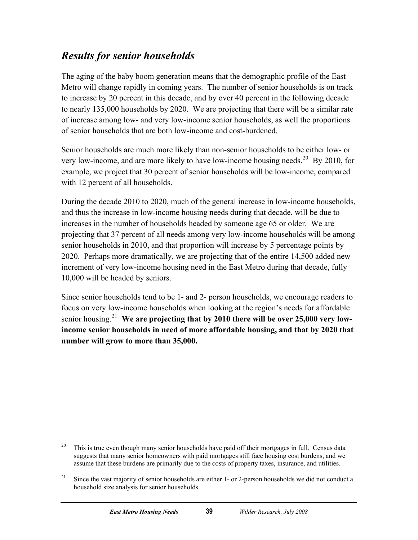### <span id="page-44-0"></span>*Results for senior households*

The aging of the baby boom generation means that the demographic profile of the East Metro will change rapidly in coming years. The number of senior households is on track to increase by 20 percent in this decade, and by over 40 percent in the following decade to nearly 135,000 households by 2020. We are projecting that there will be a similar rate of increase among low- and very low-income senior households, as well the proportions of senior households that are both low-income and cost-burdened.

Senior households are much more likely than non-senior households to be either low- or very low-income, and are more likely to have low-income housing needs.<sup>[20](#page-44-1)</sup> By 2010, for example, we project that 30 percent of senior households will be low-income, compared with 12 percent of all households.

During the decade 2010 to 2020, much of the general increase in low-income households, and thus the increase in low-income housing needs during that decade, will be due to increases in the number of households headed by someone age 65 or older. We are projecting that 37 percent of all needs among very low-income households will be among senior households in 2010, and that proportion will increase by 5 percentage points by 2020. Perhaps more dramatically, we are projecting that of the entire 14,500 added new increment of very low-income housing need in the East Metro during that decade, fully 10,000 will be headed by seniors.

Since senior households tend to be 1- and 2- person households, we encourage readers to focus on very low-income households when looking at the region's needs for affordable senior housing.[21](#page-44-2) **We are projecting that by 2010 there will be over 25,000 very lowincome senior households in need of more affordable housing, and that by 2020 that number will grow to more than 35,000.**

<span id="page-44-1"></span><sup>20</sup> 20 This is true even though many senior households have paid off their mortgages in full. Census data suggests that many senior homeowners with paid mortgages still face housing cost burdens, and we assume that these burdens are primarily due to the costs of property taxes, insurance, and utilities.

<span id="page-44-2"></span><sup>&</sup>lt;sup>21</sup> Since the vast majority of senior households are either 1- or 2-person households we did not conduct a household size analysis for senior households.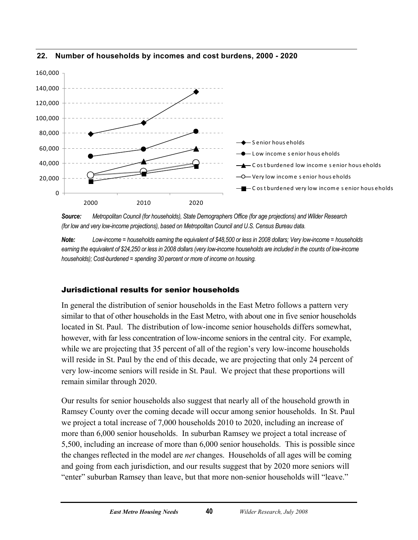

#### <span id="page-45-0"></span>**22. Number of households by incomes and cost burdens, 2000 - 2020**

*Source: Metropolitan Council (for households), State Demographers Office (for age projections) and Wilder Research (for low and very low-income projections), based on Metropolitan Council and U.S. Census Bureau data.* 

*Note: Low-income = households earning the equivalent of \$48,500 or less in 2008 dollars; Very low-income = households*  earning the equivalent of \$24,250 or less in 2008 dollars (very low-income households are included in the counts of low-income *households); Cost-burdened = spending 30 percent or more of income on housing.* 

#### Jurisdictional results for senior households

In general the distribution of senior households in the East Metro follows a pattern very similar to that of other households in the East Metro, with about one in five senior households located in St. Paul. The distribution of low-income senior households differs somewhat, however, with far less concentration of low-income seniors in the central city. For example, while we are projecting that 35 percent of all of the region's very low-income households will reside in St. Paul by the end of this decade, we are projecting that only 24 percent of very low-income seniors will reside in St. Paul. We project that these proportions will remain similar through 2020.

Our results for senior households also suggest that nearly all of the household growth in Ramsey County over the coming decade will occur among senior households. In St. Paul we project a total increase of 7,000 households 2010 to 2020, including an increase of more than 6,000 senior households. In suburban Ramsey we project a total increase of 5,500, including an increase of more than 6,000 senior households. This is possible since the changes reflected in the model are *net* changes. Households of all ages will be coming and going from each jurisdiction, and our results suggest that by 2020 more seniors will "enter" suburban Ramsey than leave, but that more non-senior households will "leave."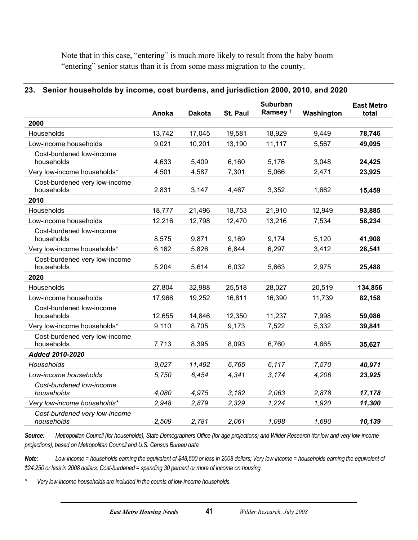<span id="page-46-0"></span>Note that in this case, "entering" is much more likely to result from the baby boom "entering" senior status than it is from some mass migration to the county.

#### **23. Senior households by income, cost burdens, and jurisdiction 2000, 2010, and 2020**

|                                             | Anoka  | <b>Dakota</b> | <b>St. Paul</b> | <b>Suburban</b><br>Ramsey <sup>+</sup> | Washington | <b>East Metro</b><br>total |
|---------------------------------------------|--------|---------------|-----------------|----------------------------------------|------------|----------------------------|
| 2000                                        |        |               |                 |                                        |            |                            |
| Households                                  | 13,742 | 17,045        | 19,581          | 18,929                                 | 9,449      | 78,746                     |
| Low-income households                       | 9,021  | 10,201        | 13,190          | 11,117                                 | 5,567      | 49,095                     |
| Cost-burdened low-income<br>households      | 4,633  | 5,409         | 6,160           | 5,176                                  | 3,048      | 24,425                     |
| Very low-income households*                 | 4,501  | 4,587         | 7,301           | 5,066                                  | 2,471      | 23,925                     |
| Cost-burdened very low-income<br>households | 2,831  | 3,147         | 4,467           | 3,352                                  | 1,662      | 15,459                     |
| 2010                                        |        |               |                 |                                        |            |                            |
| Households                                  | 18,777 | 21,496        | 18,753          | 21,910                                 | 12,949     | 93,885                     |
| Low-income households                       | 12,216 | 12,798        | 12,470          | 13,216                                 | 7,534      | 58,234                     |
| Cost-burdened low-income<br>households      | 8,575  | 9,871         | 9,169           | 9,174                                  | 5,120      | 41,908                     |
| Very low-income households*                 | 6,162  | 5,826         | 6,844           | 6,297                                  | 3,412      | 28,541                     |
| Cost-burdened very low-income<br>households | 5,204  | 5,614         | 6,032           | 5,663                                  | 2,975      | 25,488                     |
| 2020                                        |        |               |                 |                                        |            |                            |
| Households                                  | 27,804 | 32,988        | 25,518          | 28,027                                 | 20,519     | 134,856                    |
| Low-income households                       | 17,966 | 19,252        | 16,811          | 16,390                                 | 11,739     | 82,158                     |
| Cost-burdened low-income<br>households      | 12,655 | 14,846        | 12,350          | 11,237                                 | 7,998      | 59,086                     |
| Very low-income households*                 | 9,110  | 8,705         | 9,173           | 7,522                                  | 5,332      | 39,841                     |
| Cost-burdened very low-income<br>households | 7,713  | 8,395         | 8,093           | 6,760                                  | 4,665      | 35,627                     |
| Added 2010-2020                             |        |               |                 |                                        |            |                            |
| Households                                  | 9,027  | 11,492        | 6,765           | 6,117                                  | 7,570      | 40,971                     |
| Low-income households                       | 5,750  | 6,454         | 4,341           | 3,174                                  | 4,206      | 23,925                     |
| Cost-burdened low-income<br>households      | 4,080  | 4,975         | 3,182           | 2,063                                  | 2,878      | 17,178                     |
| Very low-income households*                 | 2,948  | 2,879         | 2,329           | 1,224                                  | 1,920      | 11,300                     |
| Cost-burdened very low-income<br>households | 2,509  | 2,781         | 2,061           | 1,098                                  | 1,690      | 10,139                     |

*Source: Metropolitan Council (for households), State Demographers Office (for age projections) and Wilder Research (for low and very low-income projections), based on Metropolitan Council and U.S. Census Bureau data.* 

*Note: Low-income = households earning the equivalent of \$48,500 or less in 2008 dollars; Very low-income = households earning the equivalent of \$24,250 or less in 2008 dollars; Cost-burdened = spending 30 percent or more of income on housing.*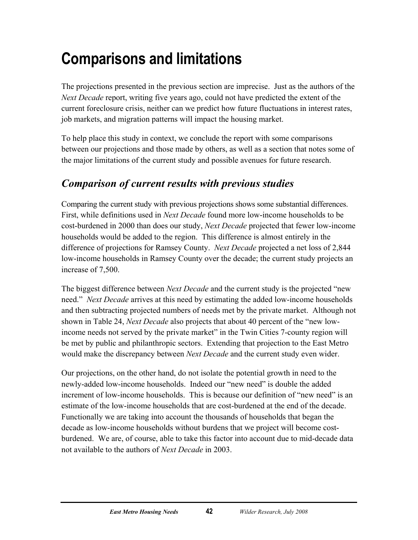## <span id="page-47-0"></span>**Comparisons and limitations**

The projections presented in the previous section are imprecise. Just as the authors of the *Next Decade* report, writing five years ago, could not have predicted the extent of the current foreclosure crisis, neither can we predict how future fluctuations in interest rates, job markets, and migration patterns will impact the housing market.

To help place this study in context, we conclude the report with some comparisons between our projections and those made by others, as well as a section that notes some of the major limitations of the current study and possible avenues for future research.

## *Comparison of current results with previous studies*

Comparing the current study with previous projections shows some substantial differences. First, while definitions used in *Next Decade* found more low-income households to be cost-burdened in 2000 than does our study, *Next Decade* projected that fewer low-income households would be added to the region. This difference is almost entirely in the difference of projections for Ramsey County. *Next Decade* projected a net loss of 2,844 low-income households in Ramsey County over the decade; the current study projects an increase of 7,500.

The biggest difference between *Next Decade* and the current study is the projected "new need." *Next Decade* arrives at this need by estimating the added low-income households and then subtracting projected numbers of needs met by the private market. Although not shown in Table 24, *Next Decade* also projects that about 40 percent of the "new lowincome needs not served by the private market" in the Twin Cities 7-county region will be met by public and philanthropic sectors. Extending that projection to the East Metro would make the discrepancy between *Next Decade* and the current study even wider.

Our projections, on the other hand, do not isolate the potential growth in need to the newly-added low-income households. Indeed our "new need" is double the added increment of low-income households. This is because our definition of "new need" is an estimate of the low-income households that are cost-burdened at the end of the decade. Functionally we are taking into account the thousands of households that began the decade as low-income households without burdens that we project will become costburdened. We are, of course, able to take this factor into account due to mid-decade data not available to the authors of *Next Decade* in 2003.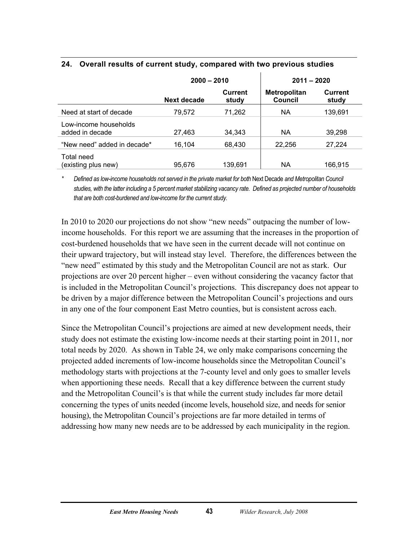|                                          | $2000 - 2010$ |                         | $2011 - 2020$                         |                         |
|------------------------------------------|---------------|-------------------------|---------------------------------------|-------------------------|
|                                          | Next decade   | <b>Current</b><br>study | <b>Metropolitan</b><br><b>Council</b> | <b>Current</b><br>study |
| Need at start of decade                  | 79,572        | 71,262                  | NА                                    | 139,691                 |
| Low-income households<br>added in decade | 27,463        | 34.343                  | NА                                    | 39,298                  |
| "New need" added in decade*              | 16.104        | 68.430                  | 22,256                                | 27,224                  |
| Total need<br>(existing plus new)        | 95,676        | 139.691                 | <b>NA</b>                             | 166,915                 |

#### <span id="page-48-0"></span>**24. Overall results of current study, compared with two previous studies**

*\* Defined as low-income households not served in the private market for both* Next Decade *and Metropolitan Council studies, with the latter including a 5 percent market stabilizing vacancy rate. Defined as projected number of households that are both cost-burdened and low-income for the current study.* 

In 2010 to 2020 our projections do not show "new needs" outpacing the number of lowincome households. For this report we are assuming that the increases in the proportion of cost-burdened households that we have seen in the current decade will not continue on their upward trajectory, but will instead stay level. Therefore, the differences between the "new need" estimated by this study and the Metropolitan Council are not as stark. Our projections are over 20 percent higher – even without considering the vacancy factor that is included in the Metropolitan Council's projections. This discrepancy does not appear to be driven by a major difference between the Metropolitan Council's projections and ours in any one of the four component East Metro counties, but is consistent across each.

Since the Metropolitan Council's projections are aimed at new development needs, their study does not estimate the existing low-income needs at their starting point in 2011, nor total needs by 2020. As shown in Table 24, we only make comparisons concerning the projected added increments of low-income households since the Metropolitan Council's methodology starts with projections at the 7-county level and only goes to smaller levels when apportioning these needs. Recall that a key difference between the current study and the Metropolitan Council's is that while the current study includes far more detail concerning the types of units needed (income levels, household size, and needs for senior housing), the Metropolitan Council's projections are far more detailed in terms of addressing how many new needs are to be addressed by each municipality in the region.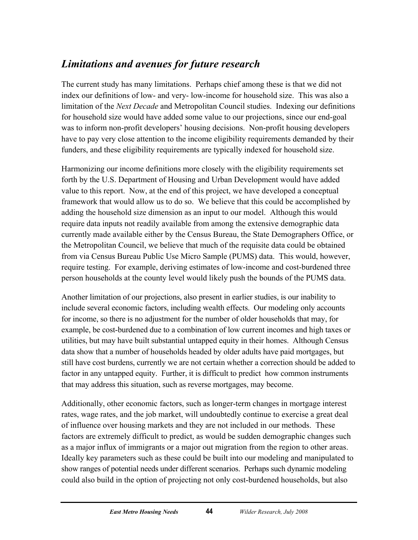## <span id="page-49-0"></span>*Limitations and avenues for future research*

The current study has many limitations. Perhaps chief among these is that we did not index our definitions of low- and very- low-income for household size. This was also a limitation of the *Next Decade* and Metropolitan Council studies. Indexing our definitions for household size would have added some value to our projections, since our end-goal was to inform non-profit developers' housing decisions. Non-profit housing developers have to pay very close attention to the income eligibility requirements demanded by their funders, and these eligibility requirements are typically indexed for household size.

Harmonizing our income definitions more closely with the eligibility requirements set forth by the U.S. Department of Housing and Urban Development would have added value to this report. Now, at the end of this project, we have developed a conceptual framework that would allow us to do so. We believe that this could be accomplished by adding the household size dimension as an input to our model. Although this would require data inputs not readily available from among the extensive demographic data currently made available either by the Census Bureau, the State Demographers Office, or the Metropolitan Council, we believe that much of the requisite data could be obtained from via Census Bureau Public Use Micro Sample (PUMS) data. This would, however, require testing. For example, deriving estimates of low-income and cost-burdened three person households at the county level would likely push the bounds of the PUMS data.

Another limitation of our projections, also present in earlier studies, is our inability to include several economic factors, including wealth effects. Our modeling only accounts for income, so there is no adjustment for the number of older households that may, for example, be cost-burdened due to a combination of low current incomes and high taxes or utilities, but may have built substantial untapped equity in their homes. Although Census data show that a number of households headed by older adults have paid mortgages, but still have cost burdens, currently we are not certain whether a correction should be added to factor in any untapped equity. Further, it is difficult to predict how common instruments that may address this situation, such as reverse mortgages, may become.

Additionally, other economic factors, such as longer-term changes in mortgage interest rates, wage rates, and the job market, will undoubtedly continue to exercise a great deal of influence over housing markets and they are not included in our methods. These factors are extremely difficult to predict, as would be sudden demographic changes such as a major influx of immigrants or a major out migration from the region to other areas. Ideally key parameters such as these could be built into our modeling and manipulated to show ranges of potential needs under different scenarios. Perhaps such dynamic modeling could also build in the option of projecting not only cost-burdened households, but also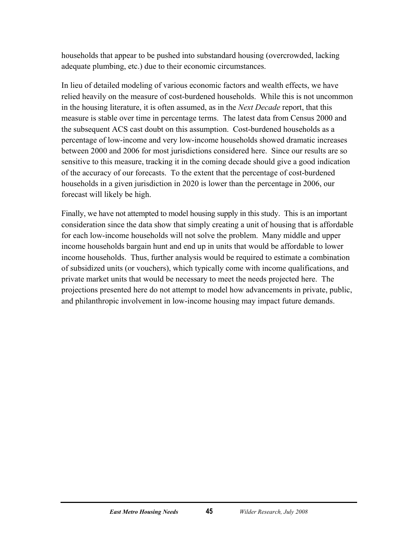households that appear to be pushed into substandard housing (overcrowded, lacking adequate plumbing, etc.) due to their economic circumstances.

In lieu of detailed modeling of various economic factors and wealth effects, we have relied heavily on the measure of cost-burdened households. While this is not uncommon in the housing literature, it is often assumed, as in the *Next Decade* report, that this measure is stable over time in percentage terms. The latest data from Census 2000 and the subsequent ACS cast doubt on this assumption. Cost-burdened households as a percentage of low-income and very low-income households showed dramatic increases between 2000 and 2006 for most jurisdictions considered here. Since our results are so sensitive to this measure, tracking it in the coming decade should give a good indication of the accuracy of our forecasts. To the extent that the percentage of cost-burdened households in a given jurisdiction in 2020 is lower than the percentage in 2006, our forecast will likely be high.

Finally, we have not attempted to model housing supply in this study. This is an important consideration since the data show that simply creating a unit of housing that is affordable for each low-income households will not solve the problem. Many middle and upper income households bargain hunt and end up in units that would be affordable to lower income households. Thus, further analysis would be required to estimate a combination of subsidized units (or vouchers), which typically come with income qualifications, and private market units that would be necessary to meet the needs projected here. The projections presented here do not attempt to model how advancements in private, public, and philanthropic involvement in low-income housing may impact future demands.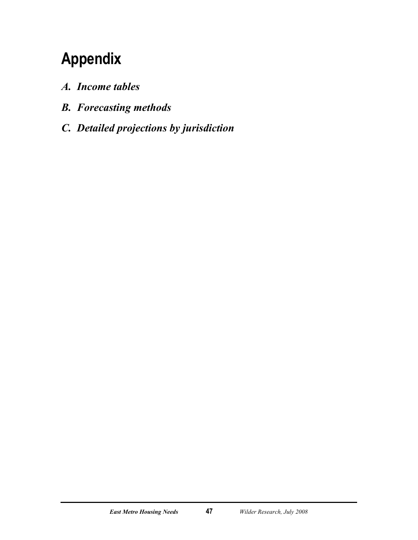## <span id="page-52-0"></span>**Appendix**

- *A. Income tables*
- *B. Forecasting methods*
- *C. Detailed projections by jurisdiction*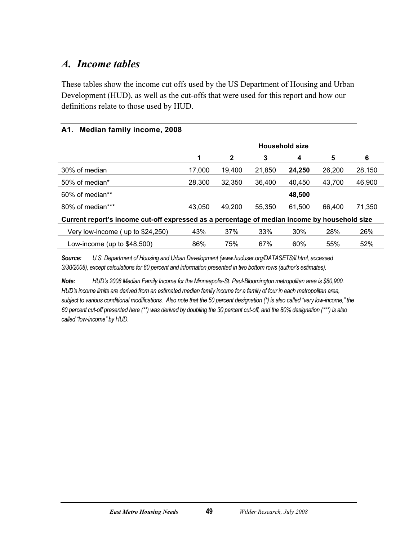### <span id="page-54-0"></span>*A. Income tables*

These tables show the income cut offs used by the US Department of Housing and Urban Development (HUD), as well as the cut-offs that were used for this report and how our definitions relate to those used by HUD.

#### **A1. Median family income, 2008**

|                                                                                              | <b>Household size</b> |              |        |        |        |        |
|----------------------------------------------------------------------------------------------|-----------------------|--------------|--------|--------|--------|--------|
|                                                                                              | 1                     | $\mathbf{2}$ | 3      | 4      | 5      | 6      |
| 30% of median                                                                                | 17,000                | 19,400       | 21,850 | 24,250 | 26,200 | 28,150 |
| 50% of median*                                                                               | 28,300                | 32,350       | 36,400 | 40,450 | 43,700 | 46,900 |
| 60% of median**                                                                              |                       |              |        | 48,500 |        |        |
| 80% of median***                                                                             | 43,050                | 49.200       | 55,350 | 61,500 | 66,400 | 71,350 |
| Current report's income cut-off expressed as a percentage of median income by household size |                       |              |        |        |        |        |
| Very low-income (up to \$24,250)                                                             | 43%                   | 37%          | 33%    | 30%    | 28%    | 26%    |
| Low-income (up to \$48,500)                                                                  | 86%                   | 75%          | 67%    | 60%    | 55%    | 52%    |

*Source: U.S. Department of Housing and Urban Development (www.huduser.org/DATASETS/il.html, accessed 3/30/2008), except calculations for 60 percent and information presented in two bottom rows (author's estimates).* 

*Note: HUD's 2008 Median Family Income for the Minneapolis-St. Paul-Bloomington metropolitan area is \$80,900. HUD's income limits are derived from an estimated median family income for a family of four in each metropolitan area, subject to various conditional modifications. Also note that the 50 percent designation (\*) is also called "very low-income," the 60 percent cut-off presented here (\*\*) was derived by doubling the 30 percent cut-off, and the 80% designation (\*\*\*) is also called "low-income" by HUD.*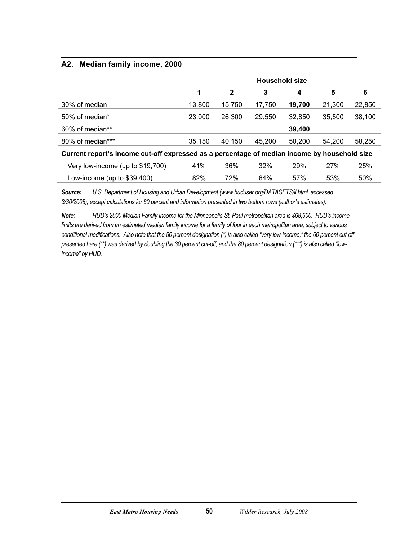#### **A2. Median family income, 2000**

|                                                                                              | <b>Household size</b> |        |        |        |        |        |
|----------------------------------------------------------------------------------------------|-----------------------|--------|--------|--------|--------|--------|
|                                                                                              | 1                     | 2      | 3      | 4      | 5      | 6      |
| 30% of median                                                                                | 13,800                | 15,750 | 17,750 | 19,700 | 21,300 | 22,850 |
| 50% of median*                                                                               | 23,000                | 26,300 | 29.550 | 32,850 | 35,500 | 38,100 |
| 60% of median**                                                                              |                       |        |        | 39,400 |        |        |
| 80% of median***                                                                             | 35,150                | 40.150 | 45.200 | 50.200 | 54.200 | 58,250 |
| Current report's income cut-off expressed as a percentage of median income by household size |                       |        |        |        |        |        |
| Very low-income (up to \$19,700)                                                             | 41%                   | 36%    | 32%    | 29%    | 27%    | 25%    |
| Low-income (up to $$39,400$ )                                                                | 82%                   | 72%    | 64%    | 57%    | 53%    | 50%    |

*Source: U.S. Department of Housing and Urban Development (www.huduser.org/DATASETS/il.html, accessed 3/30/2008), except calculations for 60 percent and information presented in two bottom rows (author's estimates).* 

*Note: HUD's 2000 Median Family Income for the Minneapolis-St. Paul metropolitan area is \$68,600. HUD's income limits are derived from an estimated median family income for a family of four in each metropolitan area, subject to various conditional modifications. Also note that the 50 percent designation (\*) is also called "very low-income," the 60 percent cut-off presented here (\*\*) was derived by doubling the 30 percent cut-off, and the 80 percent designation (\*\*\*) is also called "lowincome" by HUD.*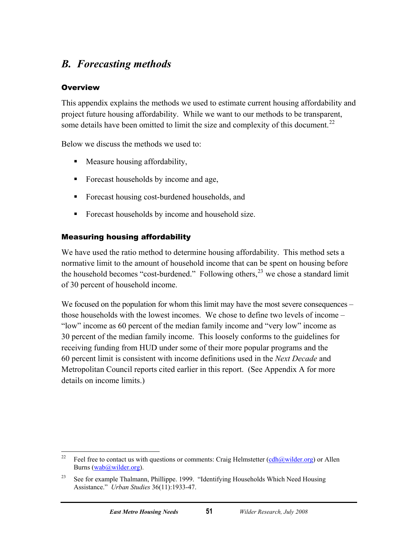### <span id="page-56-0"></span>*B. Forecasting methods*

#### **Overview**

This appendix explains the methods we used to estimate current housing affordability and project future housing affordability. While we want to our methods to be transparent, some details have been omitted to limit the size and complexity of this document.<sup>[22](#page-56-1)</sup>

Below we discuss the methods we used to:

- **Measure housing affordability,**
- **Forecast households by income and age,**
- Forecast housing cost-burdened households, and
- Forecast households by income and household size.

#### Measuring housing affordability

We have used the ratio method to determine housing affordability. This method sets a normative limit to the amount of household income that can be spent on housing before the household becomes "cost-burdened." Following others, $^{23}$  $^{23}$  $^{23}$  we chose a standard limit of 30 percent of household income.

We focused on the population for whom this limit may have the most severe consequences – those households with the lowest incomes. We chose to define two levels of income – "low" income as 60 percent of the median family income and "very low" income as 30 percent of the median family income. This loosely conforms to the guidelines for receiving funding from HUD under some of their more popular programs and the 60 percent limit is consistent with income definitions used in the *Next Decade* and Metropolitan Council reports cited earlier in this report. (See Appendix A for more details on income limits.)

<span id="page-56-1"></span> $22$ Feel free to contact us with questions or comments: Craig Helmstetter (cdh $@$ wilder.org) or Allen Burns ([wab@wilder.org\)](mailto:wab@wilder.org).

<span id="page-56-2"></span><sup>&</sup>lt;sup>23</sup> See for example Thalmann, Phillippe. 1999. "Identifying Households Which Need Housing Assistance." *Urban Studies* 36(11):1933-47.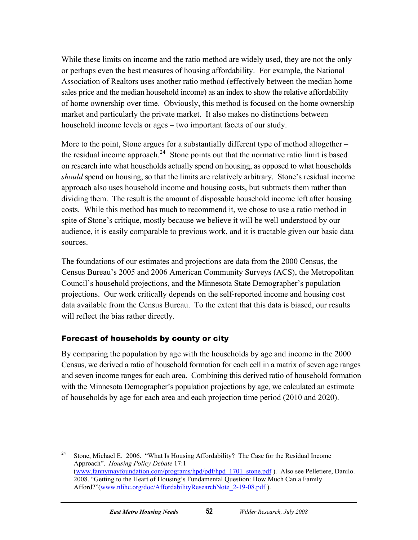While these limits on income and the ratio method are widely used, they are not the only or perhaps even the best measures of housing affordability. For example, the National Association of Realtors uses another ratio method (effectively between the median home sales price and the median household income) as an index to show the relative affordability of home ownership over time. Obviously, this method is focused on the home ownership market and particularly the private market. It also makes no distinctions between household income levels or ages – two important facets of our study.

More to the point, Stone argues for a substantially different type of method altogether – the residual income approach.<sup>[24](#page-57-0)</sup> Stone points out that the normative ratio limit is based on research into what households actually spend on housing, as opposed to what households *should* spend on housing, so that the limits are relatively arbitrary. Stone's residual income approach also uses household income and housing costs, but subtracts them rather than dividing them. The result is the amount of disposable household income left after housing costs. While this method has much to recommend it, we chose to use a ratio method in spite of Stone's critique, mostly because we believe it will be well understood by our audience, it is easily comparable to previous work, and it is tractable given our basic data sources.

The foundations of our estimates and projections are data from the 2000 Census, the Census Bureau's 2005 and 2006 American Community Surveys (ACS), the Metropolitan Council's household projections, and the Minnesota State Demographer's population projections. Our work critically depends on the self-reported income and housing cost data available from the Census Bureau. To the extent that this data is biased, our results will reflect the bias rather directly.

#### Forecast of households by county or city

By comparing the population by age with the households by age and income in the 2000 Census, we derived a ratio of household formation for each cell in a matrix of seven age ranges and seven income ranges for each area. Combining this derived ratio of household formation with the Minnesota Demographer's population projections by age, we calculated an estimate of households by age for each area and each projection time period (2010 and 2020).

<span id="page-57-0"></span><sup>24</sup> 24 Stone, Michael E. 2006. "What Is Housing Affordability? The Case for the Residual Income Approach". *Housing Policy Debate* 17:1 [\(www.fannymayfoundation.com/programs/hpd/pdf/hpd\\_1701\\_stone.pdf](http://www.fannymayfoundation.com/programs/hpd/pdf/hpd_1701_stone.pdf) ). Also see Pelletiere, Danilo. 2008. "Getting to the Heart of Housing's Fundamental Question: How Much Can a Family Afford?"(www.nlihc.org/doc/AffordabilityResearchNote\_2-19-08.pdf).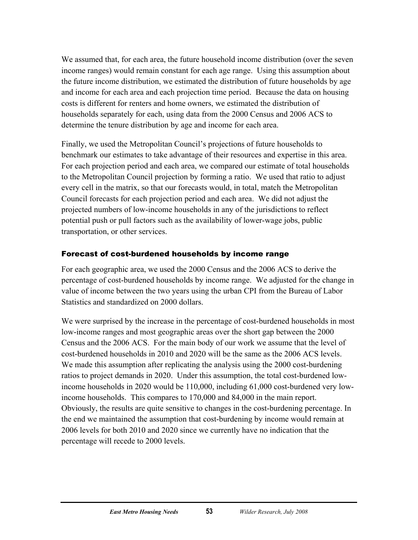We assumed that, for each area, the future household income distribution (over the seven income ranges) would remain constant for each age range. Using this assumption about the future income distribution, we estimated the distribution of future households by age and income for each area and each projection time period. Because the data on housing costs is different for renters and home owners, we estimated the distribution of households separately for each, using data from the 2000 Census and 2006 ACS to determine the tenure distribution by age and income for each area.

Finally, we used the Metropolitan Council's projections of future households to benchmark our estimates to take advantage of their resources and expertise in this area. For each projection period and each area, we compared our estimate of total households to the Metropolitan Council projection by forming a ratio. We used that ratio to adjust every cell in the matrix, so that our forecasts would, in total, match the Metropolitan Council forecasts for each projection period and each area. We did not adjust the projected numbers of low-income households in any of the jurisdictions to reflect potential push or pull factors such as the availability of lower-wage jobs, public transportation, or other services.

#### Forecast of cost-burdened households by income range

For each geographic area, we used the 2000 Census and the 2006 ACS to derive the percentage of cost-burdened households by income range. We adjusted for the change in value of income between the two years using the urban CPI from the Bureau of Labor Statistics and standardized on 2000 dollars.

We were surprised by the increase in the percentage of cost-burdened households in most low-income ranges and most geographic areas over the short gap between the 2000 Census and the 2006 ACS. For the main body of our work we assume that the level of cost-burdened households in 2010 and 2020 will be the same as the 2006 ACS levels. We made this assumption after replicating the analysis using the 2000 cost-burdening ratios to project demands in 2020. Under this assumption, the total cost-burdened lowincome households in 2020 would be 110,000, including 61,000 cost-burdened very lowincome households. This compares to 170,000 and 84,000 in the main report. Obviously, the results are quite sensitive to changes in the cost-burdening percentage. In the end we maintained the assumption that cost-burdening by income would remain at 2006 levels for both 2010 and 2020 since we currently have no indication that the percentage will recede to 2000 levels.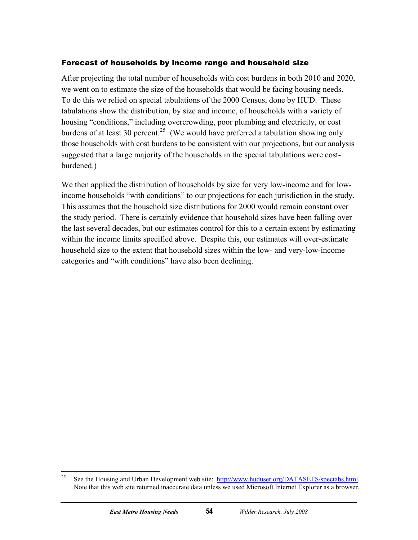#### Forecast of households by income range and household size

After projecting the total number of households with cost burdens in both 2010 and 2020, we went on to estimate the size of the households that would be facing housing needs. To do this we relied on special tabulations of the 2000 Census, done by HUD. These tabulations show the distribution, by size and income, of households with a variety of housing "conditions," including overcrowding, poor plumbing and electricity, or cost burdens of at least 30 percent.<sup>[25](#page-59-0)</sup> (We would have preferred a tabulation showing only those households with cost burdens to be consistent with our projections, but our analysis suggested that a large majority of the households in the special tabulations were costburdened.)

We then applied the distribution of households by size for very low-income and for lowincome households "with conditions" to our projections for each jurisdiction in the study. This assumes that the household size distributions for 2000 would remain constant over the study period. There is certainly evidence that household sizes have been falling over the last several decades, but our estimates control for this to a certain extent by estimating within the income limits specified above. Despite this, our estimates will over-estimate household size to the extent that household sizes within the low- and very-low-income categories and "with conditions" have also been declining.

<span id="page-59-0"></span><sup>25</sup> See the Housing and Urban Development web site: [http://www.huduser.org/DATASETS/spectabs.html.](http://www.huduser.org/DATASETS/spectabs.html) Note that this web site returned inaccurate data unless we used Microsoft Internet Explorer as a browser.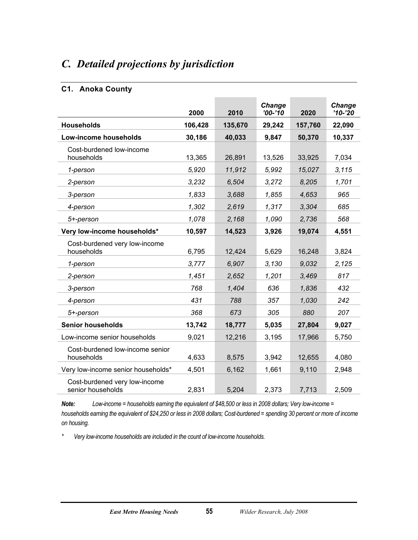### <span id="page-60-0"></span>*C. Detailed projections by jurisdiction*

#### **C1. Anoka County**

|                                                    | 2000    | 2010    | Change<br>$'00 - '10$ | 2020    | Change<br>$'10-'20$ |
|----------------------------------------------------|---------|---------|-----------------------|---------|---------------------|
| <b>Households</b>                                  | 106,428 | 135,670 | 29,242                | 157,760 | 22,090              |
| Low-income households                              | 30,186  | 40,033  | 9,847                 | 50,370  | 10,337              |
| Cost-burdened low-income<br>households             | 13,365  | 26,891  | 13,526                | 33,925  | 7,034               |
| 1-person                                           | 5,920   | 11,912  | 5,992                 | 15,027  | 3,115               |
| 2-person                                           | 3.232   | 6,504   | 3,272                 | 8,205   | 1,701               |
| 3-person                                           | 1,833   | 3,688   | 1,855                 | 4,653   | 965                 |
| 4-person                                           | 1,302   | 2,619   | 1,317                 | 3,304   | 685                 |
| 5+-person                                          | 1,078   | 2,168   | 1,090                 | 2,736   | 568                 |
| Very low-income households*                        | 10,597  | 14,523  | 3,926                 | 19,074  | 4,551               |
| Cost-burdened very low-income<br>households        | 6,795   | 12,424  | 5,629                 | 16,248  | 3,824               |
| 1-person                                           | 3,777   | 6,907   | 3,130                 | 9,032   | 2,125               |
| 2-person                                           | 1,451   | 2,652   | 1,201                 | 3,469   | 817                 |
| 3-person                                           | 768     | 1.404   | 636                   | 1,836   | 432                 |
| 4-person                                           | 431     | 788     | 357                   | 1,030   | 242                 |
| 5+-person                                          | 368     | 673     | 305                   | 880     | 207                 |
| <b>Senior households</b>                           | 13,742  | 18,777  | 5,035                 | 27,804  | 9,027               |
| Low-income senior households                       | 9,021   | 12,216  | 3,195                 | 17,966  | 5,750               |
| Cost-burdened low-income senior<br>households      | 4,633   | 8,575   | 3,942                 | 12,655  | 4,080               |
| Very low-income senior households*                 | 4,501   | 6,162   | 1,661                 | 9,110   | 2,948               |
| Cost-burdened very low-income<br>senior households | 2,831   | 5,204   | 2,373                 | 7,713   | 2,509               |

*Note: Low-income = households earning the equivalent of \$48,500 or less in 2008 dollars; Very low-income = households earning the equivalent of \$24,250 or less in 2008 dollars; Cost-burdened = spending 30 percent or more of income on housing.*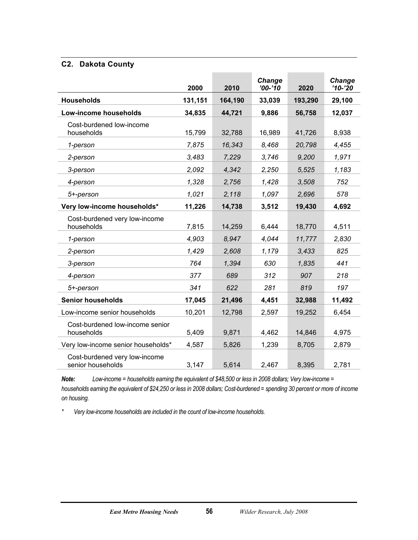#### **C2. Dakota County**

|                                                    | 2000    | 2010    | Change<br>$'00-'10$ | 2020    | <b>Change</b><br>$'10-'20$ |
|----------------------------------------------------|---------|---------|---------------------|---------|----------------------------|
| <b>Households</b>                                  | 131,151 | 164,190 | 33,039              | 193,290 | 29,100                     |
| Low-income households                              | 34,835  | 44,721  | 9,886               | 56,758  | 12,037                     |
| Cost-burdened low-income<br>households             | 15,799  | 32,788  | 16,989              | 41,726  | 8,938                      |
| 1-person                                           | 7,875   | 16,343  | 8,468               | 20,798  | 4,455                      |
| 2-person                                           | 3,483   | 7,229   | 3,746               | 9,200   | 1,971                      |
| 3-person                                           | 2,092   | 4,342   | 2,250               | 5,525   | 1,183                      |
| 4-person                                           | 1,328   | 2,756   | 1,428               | 3,508   | 752                        |
| 5+-person                                          | 1,021   | 2,118   | 1,097               | 2,696   | 578                        |
| Very low-income households*                        | 11,226  | 14,738  | 3,512               | 19,430  | 4,692                      |
| Cost-burdened very low-income<br>households        | 7,815   | 14,259  | 6,444               | 18,770  | 4,511                      |
| 1-person                                           | 4,903   | 8,947   | 4,044               | 11,777  | 2,830                      |
| 2-person                                           | 1,429   | 2,608   | 1,179               | 3,433   | 825                        |
| 3-person                                           | 764     | 1,394   | 630                 | 1,835   | 441                        |
| 4-person                                           | 377     | 689     | 312                 | 907     | 218                        |
| 5+-person                                          | 341     | 622     | 281                 | 819     | 197                        |
| <b>Senior households</b>                           | 17,045  | 21,496  | 4,451               | 32,988  | 11,492                     |
| Low-income senior households                       | 10,201  | 12,798  | 2,597               | 19,252  | 6,454                      |
| Cost-burdened low-income senior<br>households      | 5,409   | 9,871   | 4,462               | 14,846  | 4,975                      |
| Very low-income senior households*                 | 4,587   | 5,826   | 1,239               | 8,705   | 2,879                      |
| Cost-burdened very low-income<br>senior households | 3,147   | 5,614   | 2,467               | 8,395   | 2,781                      |

*Note: Low-income = households earning the equivalent of \$48,500 or less in 2008 dollars; Very low-income = households earning the equivalent of \$24,250 or less in 2008 dollars; Cost-burdened = spending 30 percent or more of income on housing.*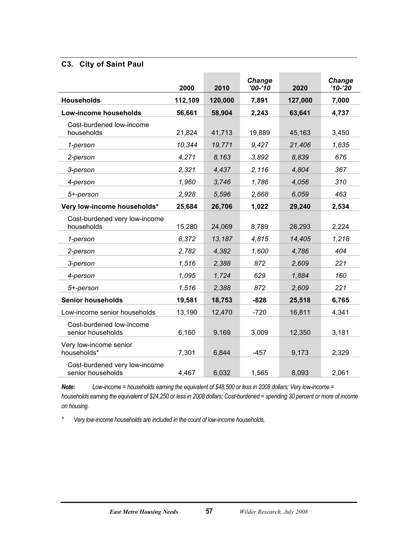#### **C3. City of Saint Paul**

|                                                    | 2000    | 2010    | Change<br>$'00 - '10$ | 2020    | Change<br>$'10-'20$ |
|----------------------------------------------------|---------|---------|-----------------------|---------|---------------------|
| <b>Households</b>                                  | 112,109 | 120,000 | 7,891                 | 127,000 | 7,000               |
| Low-income households                              | 56,661  | 58,904  | 2,243                 | 63,641  | 4,737               |
| Cost-burdened low-income<br>households             | 21,824  | 41,713  | 19,889                | 45,163  | 3,450               |
| 1-person                                           | 10,344  | 19,771  | 9,427                 | 21,406  | 1,635               |
| 2-person                                           | 4,271   | 8,163   | 3,892                 | 8,839   | 676                 |
| 3-person                                           | 2,321   | 4,437   | 2,116                 | 4,804   | 367                 |
| 4-person                                           | 1.960   | 3,746   | 1,786                 | 4,056   | 310                 |
| 5+-person                                          | 2,928   | 5,596   | 2,668                 | 6,059   | 463                 |
| Very low-income households*                        | 25,684  | 26,706  | 1,022                 | 29,240  | 2,534               |
| Cost-burdened very low-income<br>households        | 15,280  | 24,069  | 8,789                 | 26,293  | 2,224               |
| 1-person                                           | 8,372   | 13,187  | 4,815                 | 14,405  | 1,218               |
| 2-person                                           | 2,782   | 4,382   | 1,600                 | 4,786   | 404                 |
| 3-person                                           | 1,516   | 2,388   | 872                   | 2,609   | 221                 |
| 4-person                                           | 1,095   | 1,724   | 629                   | 1,884   | 160                 |
| 5+-person                                          | 1,516   | 2,388   | 872                   | 2,609   | 221                 |
| <b>Senior households</b>                           | 19,581  | 18,753  | $-828$                | 25,518  | 6,765               |
| Low-income senior households                       | 13,190  | 12,470  | $-720$                | 16,811  | 4,341               |
| Cost-burdened low-income<br>senior households      | 6,160   | 9,169   | 3,009                 | 12,350  | 3,181               |
| Very low-income senior<br>households*              | 7,301   | 6,844   | $-457$                | 9,173   | 2,329               |
| Cost-burdened very low-income<br>senior households | 4,467   | 6,032   | 1,565                 | 8,093   | 2,061               |

*Note: Low-income = households earning the equivalent of \$48,500 or less in 2008 dollars; Very low-income = households earning the equivalent of \$24,250 or less in 2008 dollars; Cost-burdened = spending 30 percent or more of income on housing.*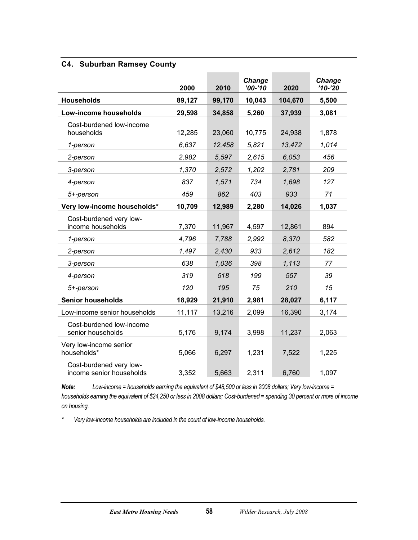#### **C4. Suburban Ramsey County**

|                                                     | 2000   | 2010   | Change<br>$'00-'10$ | 2020    | Change<br>$'10-'20$ |
|-----------------------------------------------------|--------|--------|---------------------|---------|---------------------|
| <b>Households</b>                                   | 89,127 | 99,170 | 10,043              | 104,670 | 5,500               |
| Low-income households                               | 29,598 | 34,858 | 5,260               | 37,939  | 3,081               |
| Cost-burdened low-income<br>households              | 12,285 | 23,060 | 10,775              | 24,938  | 1,878               |
| 1-person                                            | 6,637  | 12,458 | 5,821               | 13,472  | 1,014               |
| 2-person                                            | 2,982  | 5,597  | 2,615               | 6,053   | 456                 |
| 3-person                                            | 1,370  | 2,572  | 1,202               | 2,781   | 209                 |
| 4-person                                            | 837    | 1,571  | 734                 | 1,698   | 127                 |
| 5+-person                                           | 459    | 862    | 403                 | 933     | 71                  |
| Very low-income households*                         | 10,709 | 12,989 | 2,280               | 14,026  | 1,037               |
| Cost-burdened very low-<br>income households        | 7,370  | 11,967 | 4,597               | 12,861  | 894                 |
| 1-person                                            | 4,796  | 7,788  | 2,992               | 8,370   | 582                 |
| 2-person                                            | 1,497  | 2,430  | 933                 | 2,612   | 182                 |
| 3-person                                            | 638    | 1,036  | 398                 | 1,113   | 77                  |
| 4-person                                            | 319    | 518    | 199                 | 557     | 39                  |
| 5+-person                                           | 120    | 195    | 75                  | 210     | 15                  |
| <b>Senior households</b>                            | 18,929 | 21,910 | 2,981               | 28,027  | 6,117               |
| Low-income senior households                        | 11,117 | 13,216 | 2,099               | 16,390  | 3,174               |
| Cost-burdened low-income<br>senior households       | 5,176  | 9,174  | 3,998               | 11,237  | 2,063               |
| Very low-income senior<br>households*               | 5,066  | 6,297  | 1,231               | 7,522   | 1,225               |
| Cost-burdened very low-<br>income senior households | 3,352  | 5,663  | 2,311               | 6,760   | 1,097               |

*Note: Low-income = households earning the equivalent of \$48,500 or less in 2008 dollars; Very low-income = households earning the equivalent of \$24,250 or less in 2008 dollars; Cost-burdened = spending 30 percent or more of income on housing.*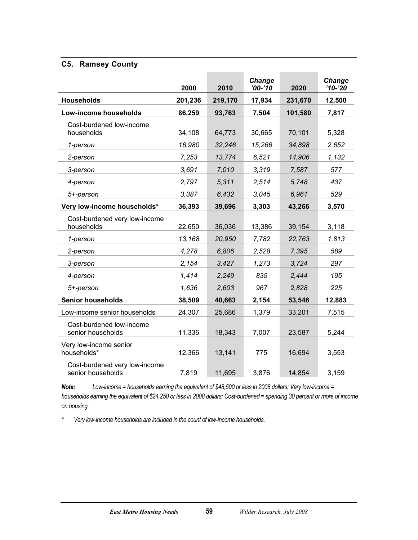#### **C5. Ramsey County**

|                                                    | 2000    | 2010    | <b>Change</b><br>$'00 - '10$ | 2020    | <b>Change</b><br>$'10-'20$ |
|----------------------------------------------------|---------|---------|------------------------------|---------|----------------------------|
| <b>Households</b>                                  | 201,236 | 219,170 | 17,934                       | 231,670 | 12,500                     |
| Low-income households                              | 86,259  | 93,763  | 7,504                        | 101,580 | 7,817                      |
| Cost-burdened low-income<br>households             | 34,108  | 64,773  | 30,665                       | 70,101  | 5,328                      |
| 1-person                                           | 16,980  | 32,246  | 15,266                       | 34,898  | 2,652                      |
| 2-person                                           | 7,253   | 13,774  | 6,521                        | 14,906  | 1,132                      |
| 3-person                                           | 3,691   | 7,010   | 3,319                        | 7,587   | 577                        |
| 4-person                                           | 2,797   | 5,311   | 2,514                        | 5,748   | 437                        |
| 5+-person                                          | 3,387   | 6,432   | 3,045                        | 6,961   | 529                        |
| Very low-income households*                        | 36,393  | 39,696  | 3,303                        | 43,266  | 3,570                      |
| Cost-burdened very low-income<br>households        | 22,650  | 36,036  | 13,386                       | 39,154  | 3,118                      |
| 1-person                                           | 13,168  | 20,950  | 7,782                        | 22,763  | 1,813                      |
| 2-person                                           | 4,278   | 6,806   | 2,528                        | 7,395   | 589                        |
| 3-person                                           | 2,154   | 3,427   | 1,273                        | 3,724   | 297                        |
| 4-person                                           | 1,414   | 2.249   | 835                          | 2,444   | 195                        |
| 5+-person                                          | 1,636   | 2,603   | 967                          | 2,828   | 225                        |
| <b>Senior households</b>                           | 38,509  | 40,663  | 2,154                        | 53,546  | 12,883                     |
| Low-income senior households                       | 24,307  | 25,686  | 1,379                        | 33,201  | 7,515                      |
| Cost-burdened low-income<br>senior households      | 11,336  | 18,343  | 7,007                        | 23,587  | 5,244                      |
| Very low-income senior<br>households*              | 12,366  | 13,141  | 775                          | 16,694  | 3,553                      |
| Cost-burdened very low-income<br>senior households | 7,819   | 11,695  | 3,876                        | 14,854  | 3,159                      |

*Note: Low-income = households earning the equivalent of \$48,500 or less in 2008 dollars; Very low-income = households earning the equivalent of \$24,250 or less in 2008 dollars; Cost-burdened = spending 30 percent or more of income on housing.*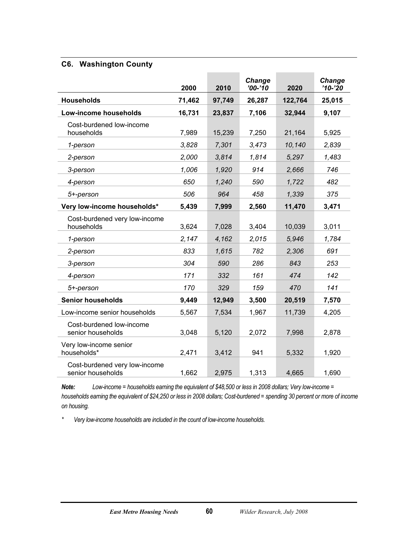#### **C6. Washington County**

|                                                    | 2000   | 2010   | Change<br>$'00 - '10$ | 2020    | Change<br>$'10-'20$ |
|----------------------------------------------------|--------|--------|-----------------------|---------|---------------------|
| <b>Households</b>                                  | 71,462 | 97,749 | 26,287                | 122,764 | 25,015              |
| Low-income households                              | 16,731 | 23,837 | 7,106                 | 32,944  | 9,107               |
| Cost-burdened low-income<br>households             | 7,989  | 15,239 | 7,250                 | 21,164  | 5,925               |
| 1-person                                           | 3,828  | 7,301  | 3,473                 | 10,140  | 2,839               |
| 2-person                                           | 2,000  | 3,814  | 1,814                 | 5,297   | 1.483               |
| 3-person                                           | 1,006  | 1,920  | 914                   | 2,666   | 746                 |
| 4-person                                           | 650    | 1,240  | 590                   | 1,722   | 482                 |
| 5+-person                                          | 506    | 964    | 458                   | 1,339   | 375                 |
| Very low-income households*                        | 5,439  | 7,999  | 2,560                 | 11,470  | 3,471               |
| Cost-burdened very low-income<br>households        | 3,624  | 7,028  | 3,404                 | 10,039  | 3,011               |
| 1-person                                           | 2,147  | 4,162  | 2,015                 | 5,946   | 1,784               |
| 2-person                                           | 833    | 1,615  | 782                   | 2,306   | 691                 |
| 3-person                                           | 304    | 590    | 286                   | 843     | 253                 |
| 4-person                                           | 171    | 332    | 161                   | 474     | 142                 |
| 5+-person                                          | 170    | 329    | 159                   | 470     | 141                 |
| <b>Senior households</b>                           | 9,449  | 12,949 | 3,500                 | 20,519  | 7,570               |
| Low-income senior households                       | 5,567  | 7,534  | 1,967                 | 11,739  | 4,205               |
| Cost-burdened low-income<br>senior households      | 3,048  | 5,120  | 2,072                 | 7,998   | 2,878               |
| Very low-income senior<br>households*              | 2,471  | 3,412  | 941                   | 5,332   | 1,920               |
| Cost-burdened very low-income<br>senior households | 1,662  | 2,975  | 1,313                 | 4,665   | 1,690               |

*Note: Low-income = households earning the equivalent of \$48,500 or less in 2008 dollars; Very low-income = households earning the equivalent of \$24,250 or less in 2008 dollars; Cost-burdened = spending 30 percent or more of income on housing.*